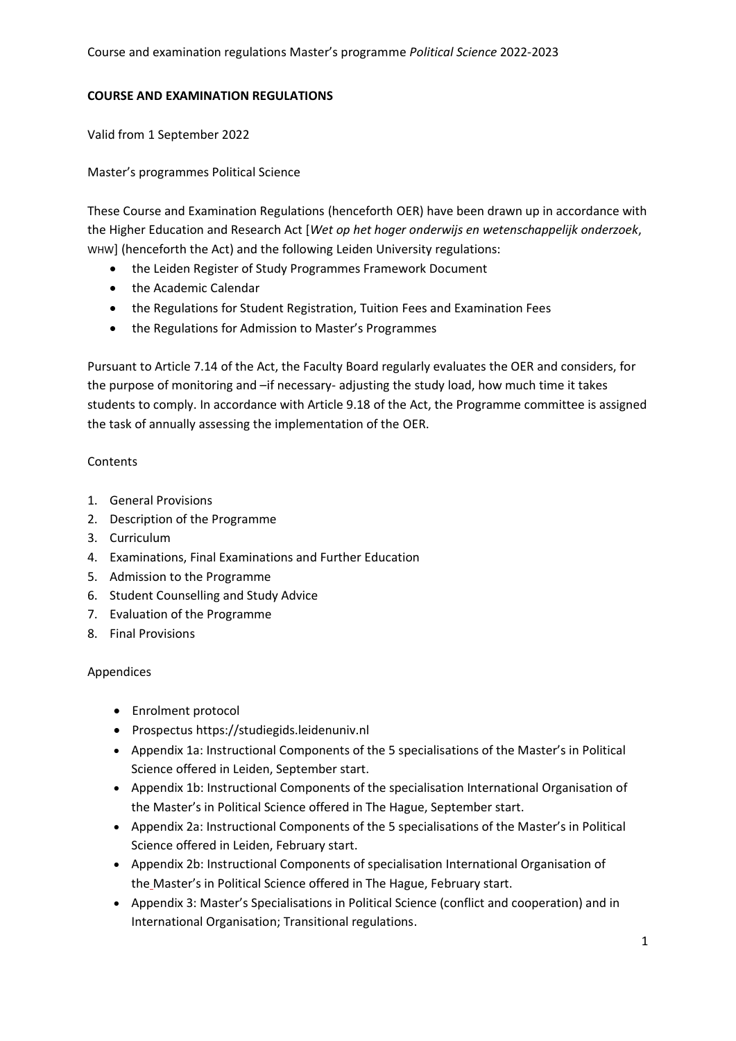# **COURSE AND EXAMINATION REGULATIONS**

Valid from 1 September 2022

Master's programmes Political Science

These Course and Examination Regulations (henceforth OER) have been drawn up in accordance with the Higher Education and Research Act [*Wet op het hoger onderwijs en wetenschappelijk onderzoek*, WHW] (henceforth the Act) and the following Leiden University regulations:

- the Leiden Register of Study Programmes Framework Document
- the Academic Calendar
- the Regulations for Student Registration, Tuition Fees and Examination Fees
- the Regulations for Admission to Master's Programmes

Pursuant to Article 7.14 of the Act, the Faculty Board regularly evaluates the OER and considers, for the purpose of monitoring and –if necessary- adjusting the study load, how much time it takes students to comply. In accordance with Article 9.18 of the Act, the Programme committee is assigned the task of annually assessing the implementation of the OER.

# **Contents**

- 1. General Provisions
- 2. Description of the Programme
- 3. Curriculum
- 4. Examinations, Final Examinations and Further Education
- 5. Admission to the Programme
- 6. Student Counselling and Study Advice
- 7. Evaluation of the Programme
- 8. Final Provisions

# Appendices

- Enrolment protocol
- Prospectus https://studiegids.leidenuniv.nl
- Appendix 1a: Instructional Components of the 5 specialisations of the Master's in Political Science offered in Leiden, September start.
- Appendix 1b: Instructional Components of the specialisation International Organisation of the Master's in Political Science offered in The Hague, September start.
- Appendix 2a: Instructional Components of the 5 specialisations of the Master's in Political Science offered in Leiden, February start.
- Appendix 2b: Instructional Components of specialisation International Organisation of the Master's in Political Science offered in The Hague, February start.
- Appendix 3: Master's Specialisations in Political Science (conflict and cooperation) and in International Organisation; Transitional regulations.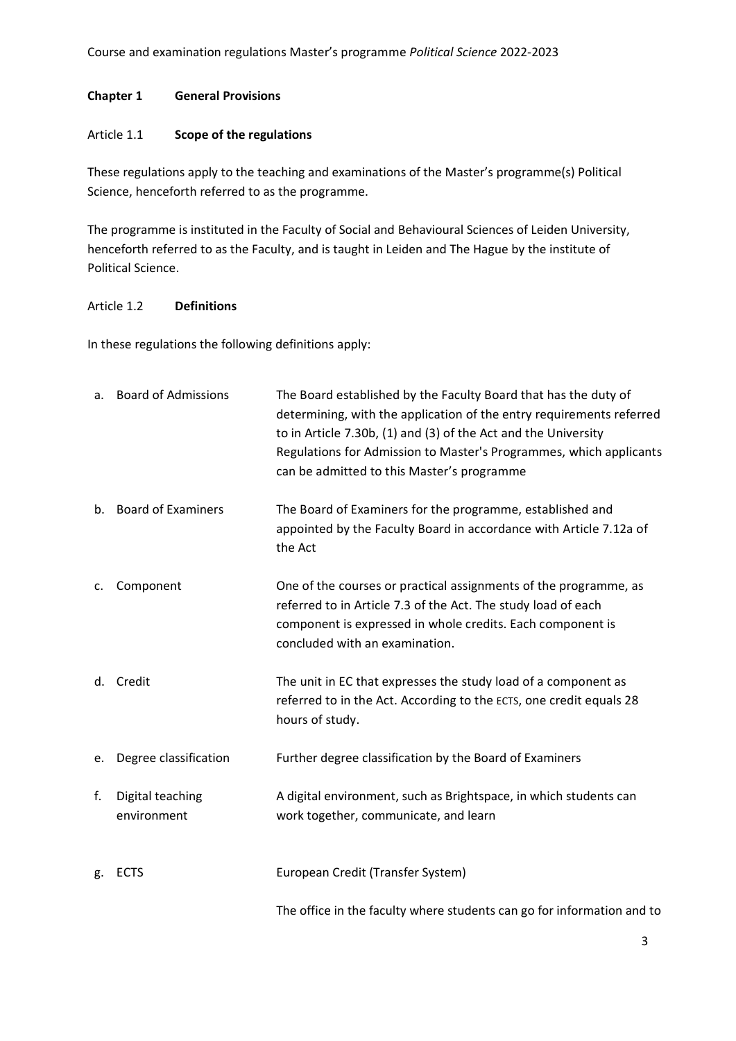# **Chapter 1 General Provisions**

# Article 1.1 **Scope of the regulations**

These regulations apply to the teaching and examinations of the Master's programme(s) Political Science, henceforth referred to as the programme.

The programme is instituted in the Faculty of Social and Behavioural Sciences of Leiden University, henceforth referred to as the Faculty, and is taught in Leiden and The Hague by the institute of Political Science.

# Article 1.2 **Definitions**

In these regulations the following definitions apply:

|    | a. Board of Admissions          | The Board established by the Faculty Board that has the duty of<br>determining, with the application of the entry requirements referred<br>to in Article 7.30b, (1) and (3) of the Act and the University<br>Regulations for Admission to Master's Programmes, which applicants<br>can be admitted to this Master's programme |
|----|---------------------------------|-------------------------------------------------------------------------------------------------------------------------------------------------------------------------------------------------------------------------------------------------------------------------------------------------------------------------------|
|    | b. Board of Examiners           | The Board of Examiners for the programme, established and<br>appointed by the Faculty Board in accordance with Article 7.12a of<br>the Act                                                                                                                                                                                    |
| c. | Component                       | One of the courses or practical assignments of the programme, as<br>referred to in Article 7.3 of the Act. The study load of each<br>component is expressed in whole credits. Each component is<br>concluded with an examination.                                                                                             |
| d. | Credit                          | The unit in EC that expresses the study load of a component as<br>referred to in the Act. According to the ECTS, one credit equals 28<br>hours of study.                                                                                                                                                                      |
| e. | Degree classification           | Further degree classification by the Board of Examiners                                                                                                                                                                                                                                                                       |
| f. | Digital teaching<br>environment | A digital environment, such as Brightspace, in which students can<br>work together, communicate, and learn                                                                                                                                                                                                                    |
| g. | <b>ECTS</b>                     | European Credit (Transfer System)                                                                                                                                                                                                                                                                                             |
|    |                                 | The office in the faculty where students can go for information and to                                                                                                                                                                                                                                                        |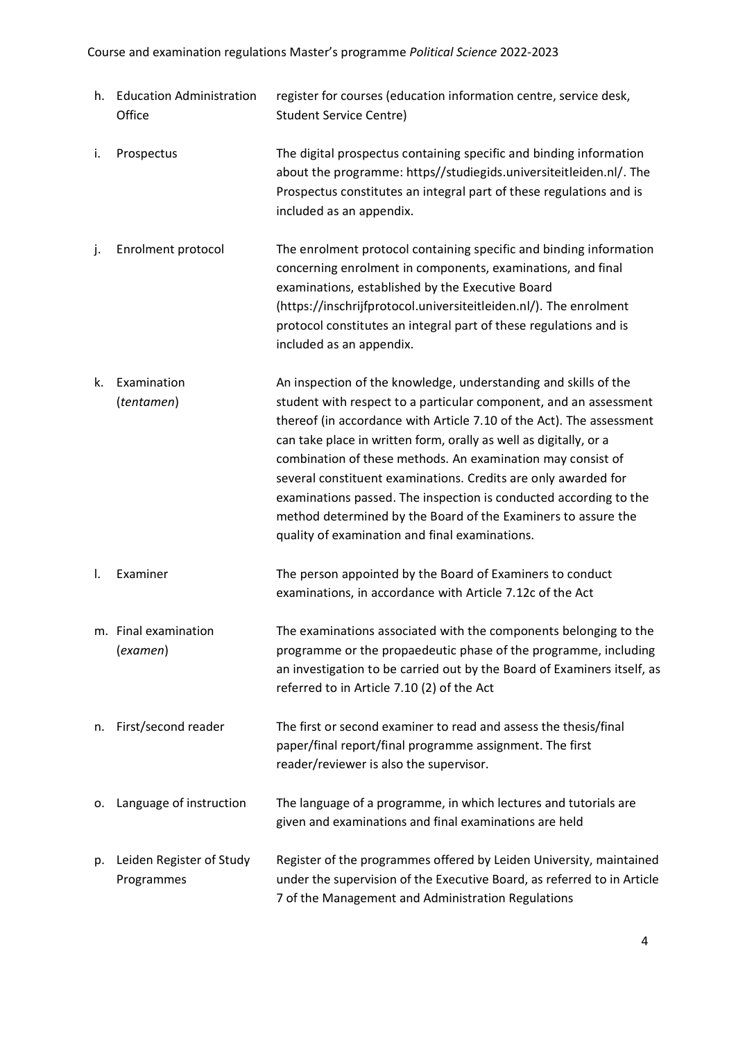|    | h. Education Administration<br>Office  | register for courses (education information centre, service desk,<br><b>Student Service Centre)</b>                                                                                                                                                                                                                                                                                                                                                                                                                                                                                                        |
|----|----------------------------------------|------------------------------------------------------------------------------------------------------------------------------------------------------------------------------------------------------------------------------------------------------------------------------------------------------------------------------------------------------------------------------------------------------------------------------------------------------------------------------------------------------------------------------------------------------------------------------------------------------------|
| i. | Prospectus                             | The digital prospectus containing specific and binding information<br>about the programme: https//studiegids.universiteitleiden.nl/. The<br>Prospectus constitutes an integral part of these regulations and is<br>included as an appendix.                                                                                                                                                                                                                                                                                                                                                                |
| j. | Enrolment protocol                     | The enrolment protocol containing specific and binding information<br>concerning enrolment in components, examinations, and final<br>examinations, established by the Executive Board<br>(https://inschrijfprotocol.universiteitleiden.nl/). The enrolment<br>protocol constitutes an integral part of these regulations and is<br>included as an appendix.                                                                                                                                                                                                                                                |
| k. | Examination<br>(tentamen)              | An inspection of the knowledge, understanding and skills of the<br>student with respect to a particular component, and an assessment<br>thereof (in accordance with Article 7.10 of the Act). The assessment<br>can take place in written form, orally as well as digitally, or a<br>combination of these methods. An examination may consist of<br>several constituent examinations. Credits are only awarded for<br>examinations passed. The inspection is conducted according to the<br>method determined by the Board of the Examiners to assure the<br>quality of examination and final examinations. |
| Ι. | Examiner                               | The person appointed by the Board of Examiners to conduct<br>examinations, in accordance with Article 7.12c of the Act                                                                                                                                                                                                                                                                                                                                                                                                                                                                                     |
|    | m. Final examination<br>(examen)       | The examinations associated with the components belonging to the<br>programme or the propaedeutic phase of the programme, including<br>an investigation to be carried out by the Board of Examiners itself, as<br>referred to in Article 7.10 (2) of the Act                                                                                                                                                                                                                                                                                                                                               |
| n. | First/second reader                    | The first or second examiner to read and assess the thesis/final<br>paper/final report/final programme assignment. The first<br>reader/reviewer is also the supervisor.                                                                                                                                                                                                                                                                                                                                                                                                                                    |
| о. | Language of instruction                | The language of a programme, in which lectures and tutorials are<br>given and examinations and final examinations are held                                                                                                                                                                                                                                                                                                                                                                                                                                                                                 |
| p. | Leiden Register of Study<br>Programmes | Register of the programmes offered by Leiden University, maintained<br>under the supervision of the Executive Board, as referred to in Article<br>7 of the Management and Administration Regulations                                                                                                                                                                                                                                                                                                                                                                                                       |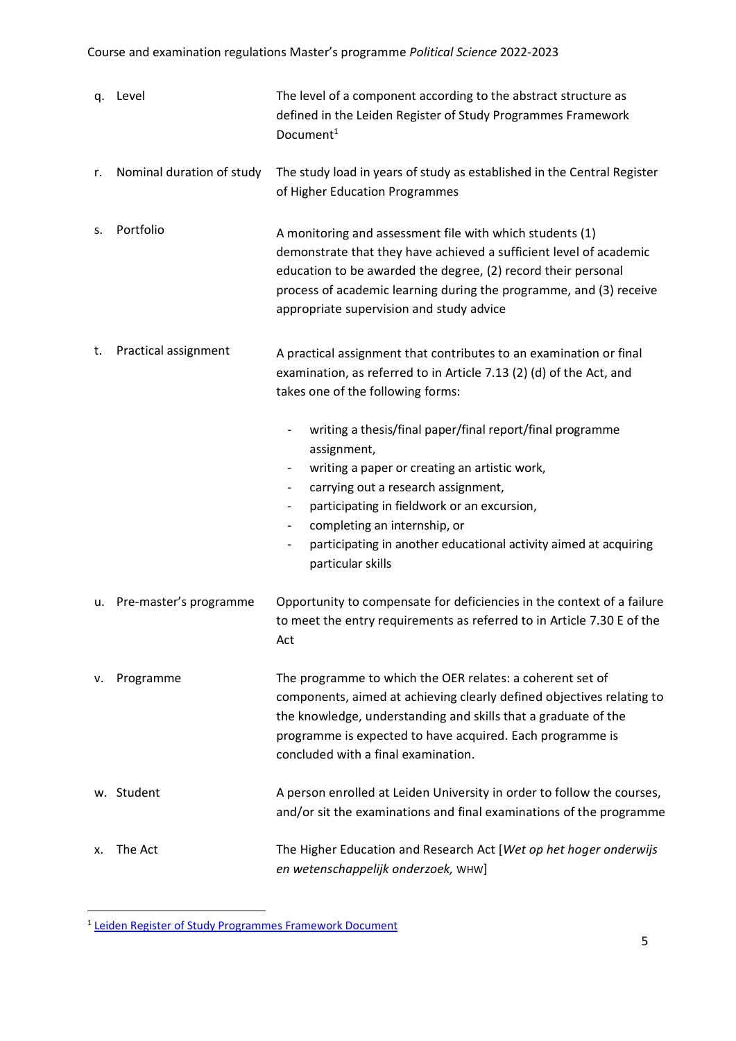|    | q. Level                  | The level of a component according to the abstract structure as<br>defined in the Leiden Register of Study Programmes Framework<br>Document <sup>1</sup>                                                                                                                                                                                                                                                                                                     |
|----|---------------------------|--------------------------------------------------------------------------------------------------------------------------------------------------------------------------------------------------------------------------------------------------------------------------------------------------------------------------------------------------------------------------------------------------------------------------------------------------------------|
| r. | Nominal duration of study | The study load in years of study as established in the Central Register<br>of Higher Education Programmes                                                                                                                                                                                                                                                                                                                                                    |
| s. | Portfolio                 | A monitoring and assessment file with which students (1)<br>demonstrate that they have achieved a sufficient level of academic<br>education to be awarded the degree, (2) record their personal<br>process of academic learning during the programme, and (3) receive<br>appropriate supervision and study advice                                                                                                                                            |
| t. | Practical assignment      | A practical assignment that contributes to an examination or final<br>examination, as referred to in Article 7.13 (2) (d) of the Act, and<br>takes one of the following forms:                                                                                                                                                                                                                                                                               |
|    |                           | writing a thesis/final paper/final report/final programme<br>assignment,<br>writing a paper or creating an artistic work,<br>$\overline{\phantom{a}}$<br>carrying out a research assignment,<br>$\overline{\phantom{a}}$<br>participating in fieldwork or an excursion,<br>completing an internship, or<br>$\overline{\phantom{a}}$<br>participating in another educational activity aimed at acquiring<br>$\qquad \qquad \blacksquare$<br>particular skills |
| u. | Pre-master's programme    | Opportunity to compensate for deficiencies in the context of a failure<br>to meet the entry requirements as referred to in Article 7.30 E of the<br>Act                                                                                                                                                                                                                                                                                                      |
| ν. | Programme                 | The programme to which the OER relates: a coherent set of<br>components, aimed at achieving clearly defined objectives relating to<br>the knowledge, understanding and skills that a graduate of the<br>programme is expected to have acquired. Each programme is<br>concluded with a final examination.                                                                                                                                                     |
|    | w. Student                | A person enrolled at Leiden University in order to follow the courses,<br>and/or sit the examinations and final examinations of the programme                                                                                                                                                                                                                                                                                                                |
| х. | The Act                   | The Higher Education and Research Act [Wet op het hoger onderwijs<br>en wetenschappelijk onderzoek, WHW]                                                                                                                                                                                                                                                                                                                                                     |

<sup>1</sup> [Leiden Register of Study Programmes Framework Document](https://www.staff.universiteitleiden.nl/education/profiling/degree-programmes/leids-register-educations/service-units/administration-and-central-services?cf=service-units&cd=administration-and-central-services)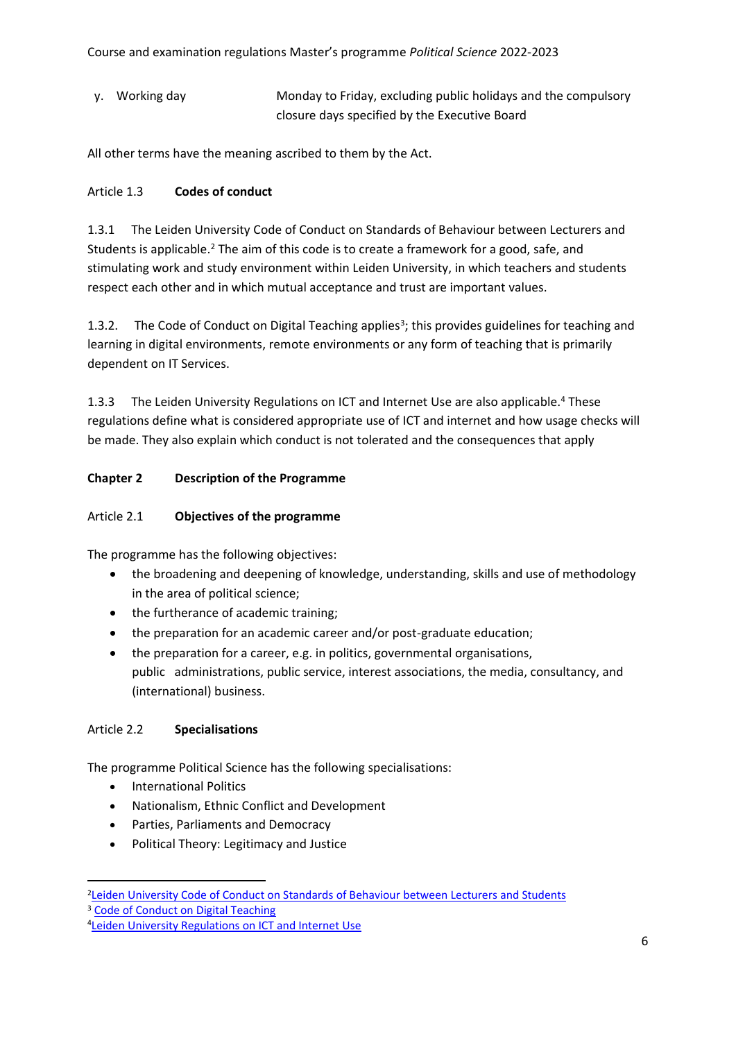y. Working day Monday to Friday, excluding public holidays and the compulsory closure days specified by the Executive Board

All other terms have the meaning ascribed to them by the Act.

# Article 1.3 **Codes of conduct**

1.3.1 The Leiden University Code of Conduct on Standards of Behaviour between Lecturers and Students is applicable.<sup>2</sup> The aim of this code is to create a framework for a good, safe, and stimulating work and study environment within Leiden University, in which teachers and students respect each other and in which mutual acceptance and trust are important values.

1.3.2. The Code of Conduct on Digital Teaching applies<sup>3</sup>; this provides guidelines for teaching and learning in digital environments, remote environments or any form of teaching that is primarily dependent on IT Services.

1.3.3 The Leiden University Regulations on ICT and Internet Use are also applicable.<sup>4</sup> These regulations define what is considered appropriate use of ICT and internet and how usage checks will be made. They also explain which conduct is not tolerated and the consequences that apply

# **Chapter 2 Description of the Programme**

# Article 2.1 **Objectives of the programme**

The programme has the following objectives:

- the broadening and deepening of knowledge, understanding, skills and use of methodology in the area of political science;
- the furtherance of academic training;
- the preparation for an academic career and/or post-graduate education;
- the preparation for a career, e.g. in politics, governmental organisations, public administrations, public service, interest associations, the media, consultancy, and (international) business.

# Article 2.2 **Specialisations**

The programme Political Science has the following specialisations:

- International Politics
- Nationalism, Ethnic Conflict and Development
- Parties, Parliaments and Democracy
- Political Theory: Legitimacy and Justice
- 2Leiden University Code of Conduct on Standards of [Behaviour](https://www.organisatiegids.universiteitleiden.nl/en/regulations/general/code-of-conduct-on-standards-of-behaviour) between Lecturers and Students <sup>3</sup> [Code of Conduct on Digital Teaching](https://www.organisatiegids.universiteitleiden.nl/reglementen/algemeen/gedragscode-remote-teaching)

<sup>4</sup>Leiden University [Regulations](https://www.organisatiegids.universiteitleiden.nl/en/regulations/general/regulations-on-ict-and-internet-use) on ICT and Internet Use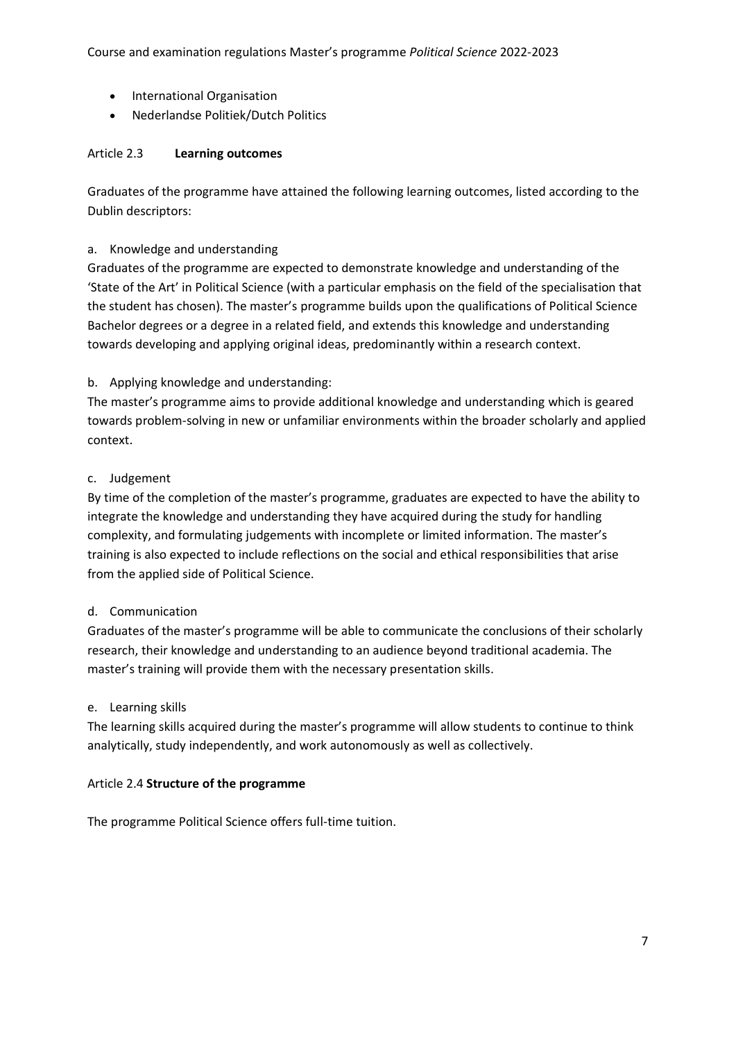- International Organisation
- Nederlandse Politiek/Dutch Politics

# Article 2.3 **Learning outcomes**

Graduates of the programme have attained the following learning outcomes, listed according to the Dublin descriptors:

# a. Knowledge and understanding

Graduates of the programme are expected to demonstrate knowledge and understanding of the 'State of the Art' in Political Science (with a particular emphasis on the field of the specialisation that the student has chosen). The master's programme builds upon the qualifications of Political Science Bachelor degrees or a degree in a related field, and extends this knowledge and understanding towards developing and applying original ideas, predominantly within a research context.

# b. Applying knowledge and understanding:

The master's programme aims to provide additional knowledge and understanding which is geared towards problem-solving in new or unfamiliar environments within the broader scholarly and applied context.

### c. Judgement

By time of the completion of the master's programme, graduates are expected to have the ability to integrate the knowledge and understanding they have acquired during the study for handling complexity, and formulating judgements with incomplete or limited information. The master's training is also expected to include reflections on the social and ethical responsibilities that arise from the applied side of Political Science.

# d. Communication

Graduates of the master's programme will be able to communicate the conclusions of their scholarly research, their knowledge and understanding to an audience beyond traditional academia. The master's training will provide them with the necessary presentation skills.

#### e. Learning skills

The learning skills acquired during the master's programme will allow students to continue to think analytically, study independently, and work autonomously as well as collectively.

#### Article 2.4 **Structure of the programme**

The programme Political Science offers full-time tuition.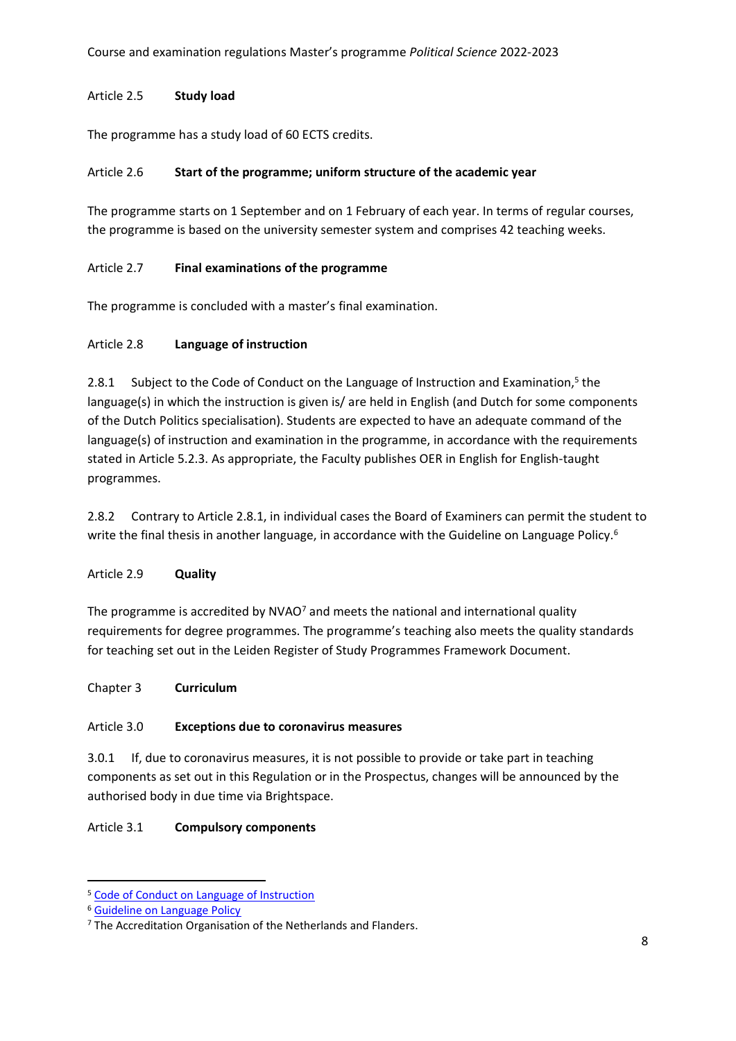# Article 2.5 **Study load**

The programme has a study load of 60 ECTS credits.

# Article 2.6 **Start of the programme; uniform structure of the academic year**

The programme starts on 1 September and on 1 February of each year. In terms of regular courses, the programme is based on the university semester system and comprises 42 teaching weeks.

# Article 2.7 **Final examinations of the programme**

The programme is concluded with a master's final examination.

# Article 2.8 **Language of instruction**

2.8.1 Subject to the Code of Conduct on the Language of Instruction and Examination,<sup>5</sup> the language(s) in which the instruction is given is/ are held in English (and Dutch for some components of the Dutch Politics specialisation). Students are expected to have an adequate command of the language(s) of instruction and examination in the programme, in accordance with the requirements stated in Article 5.2.3. As appropriate, the Faculty publishes OER in English for English-taught programmes.

2.8.2 Contrary to Article 2.8.1, in individual cases the Board of Examiners can permit the student to write the final thesis in another language, in accordance with the Guideline on Language Policy.<sup>6</sup>

# Article 2.9 **Quality**

The programme is accredited by NVAO<sup>7</sup> and meets the national and international quality requirements for degree programmes. The programme's teaching also meets the quality standards for teaching set out in the Leiden Register of Study Programmes Framework Document.

# Chapter 3 **Curriculum**

# Article 3.0 **Exceptions due to coronavirus measures**

3.0.1 If, due to coronavirus measures, it is not possible to provide or take part in teaching components as set out in this Regulation or in the Prospectus, changes will be announced by the authorised body in due time via Brightspace.

# Article 3.1 **Compulsory components**

<sup>5</sup> [Code of Conduct on Language of Instruction](https://www.organisatiegids.universiteitleiden.nl/en/regulations/general/language-of-instruction)

<sup>6</sup> [Guideline on Language Policy](https://www.organisatiegids.universiteitleiden.nl/en/regulations/general/language-of-instruction)

<sup>&</sup>lt;sup>7</sup> The Accreditation Organisation of the Netherlands and Flanders.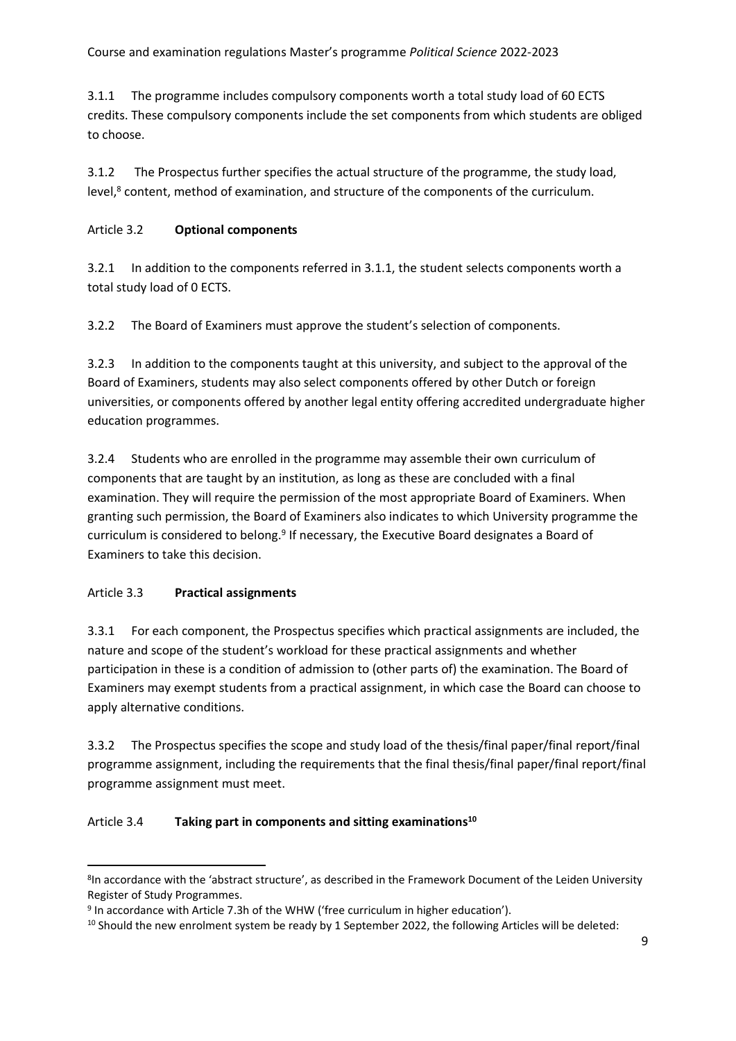3.1.1 The programme includes compulsory components worth a total study load of 60 ECTS credits. These compulsory components include the set components from which students are obliged to choose.

3.1.2 The Prospectus further specifies the actual structure of the programme, the study load, level,<sup>8</sup> content, method of examination, and structure of the components of the curriculum.

# Article 3.2 **Optional components**

3.2.1 In addition to the components referred in 3.1.1, the student selects components worth a total study load of 0 ECTS.

3.2.2 The Board of Examiners must approve the student's selection of components.

3.2.3 In addition to the components taught at this university, and subject to the approval of the Board of Examiners, students may also select components offered by other Dutch or foreign universities, or components offered by another legal entity offering accredited undergraduate higher education programmes.

3.2.4 Students who are enrolled in the programme may assemble their own curriculum of components that are taught by an institution, as long as these are concluded with a final examination. They will require the permission of the most appropriate Board of Examiners. When granting such permission, the Board of Examiners also indicates to which University programme the curriculum is considered to belong.<sup>9</sup> If necessary, the Executive Board designates a Board of Examiners to take this decision.

# Article 3.3 **Practical assignments**

3.3.1 For each component, the Prospectus specifies which practical assignments are included, the nature and scope of the student's workload for these practical assignments and whether participation in these is a condition of admission to (other parts of) the examination. The Board of Examiners may exempt students from a practical assignment, in which case the Board can choose to apply alternative conditions.

3.3.2 The Prospectus specifies the scope and study load of the thesis/final paper/final report/final programme assignment, including the requirements that the final thesis/final paper/final report/final programme assignment must meet.

# Article 3.4 **Taking part in components and sitting examinations<sup>10</sup>**

<sup>&</sup>lt;sup>8</sup>In accordance with the 'abstract structure', as described in the Framework Document of the Leiden University Register of Study Programmes.

<sup>&</sup>lt;sup>9</sup> In accordance with Article 7.3h of the WHW ('free curriculum in higher education').

<sup>&</sup>lt;sup>10</sup> Should the new enrolment system be ready by 1 September 2022, the following Articles will be deleted: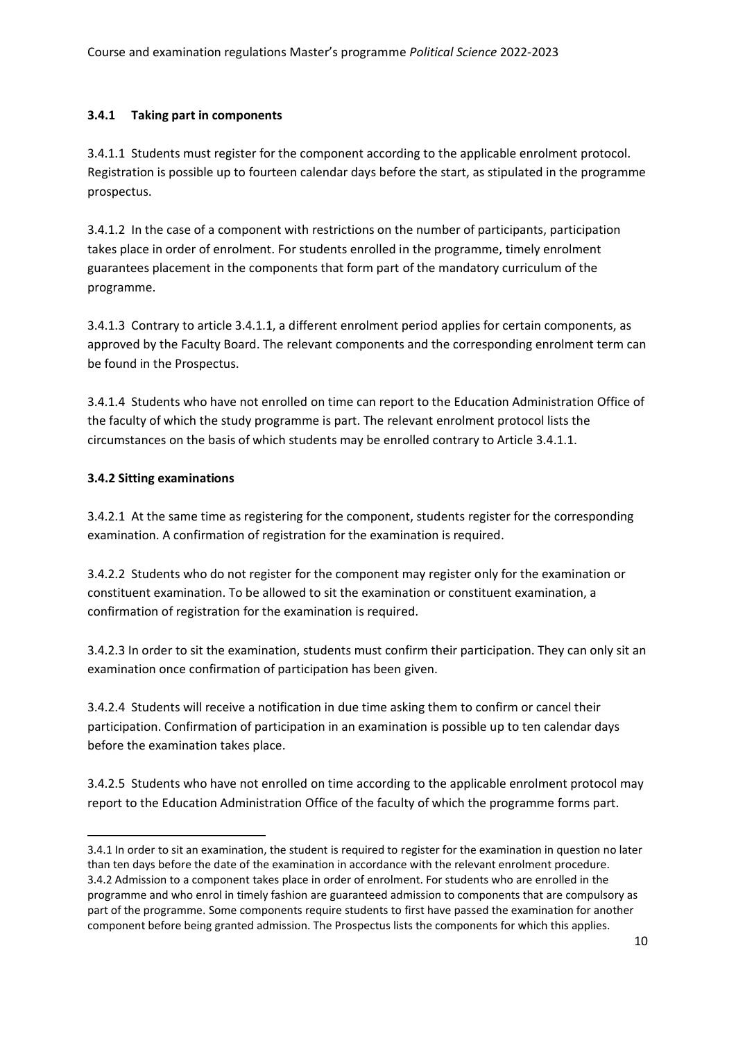### **3.4.1 Taking part in components**

3.4.1.1 Students must register for the component according to the applicable enrolment protocol. Registration is possible up to fourteen calendar days before the start, as stipulated in the programme prospectus.

3.4.1.2 In the case of a component with restrictions on the number of participants, participation takes place in order of enrolment. For students enrolled in the programme, timely enrolment guarantees placement in the components that form part of the mandatory curriculum of the programme.

3.4.1.3 Contrary to article 3.4.1.1, a different enrolment period applies for certain components, as approved by the Faculty Board. The relevant components and the corresponding enrolment term can be found in the Prospectus.

3.4.1.4 Students who have not enrolled on time can report to the Education Administration Office of the faculty of which the study programme is part. The relevant enrolment protocol lists the circumstances on the basis of which students may be enrolled contrary to Article 3.4.1.1.

### **3.4.2 Sitting examinations**

3.4.2.1 At the same time as registering for the component, students register for the corresponding examination. A confirmation of registration for the examination is required.

3.4.2.2 Students who do not register for the component may register only for the examination or constituent examination. To be allowed to sit the examination or constituent examination, a confirmation of registration for the examination is required.

3.4.2.3 In order to sit the examination, students must confirm their participation. They can only sit an examination once confirmation of participation has been given.

3.4.2.4 Students will receive a notification in due time asking them to confirm or cancel their participation. Confirmation of participation in an examination is possible up to ten calendar days before the examination takes place.

3.4.2.5 Students who have not enrolled on time according to the applicable enrolment protocol may report to the Education Administration Office of the faculty of which the programme forms part.

<sup>3.4.1</sup> In order to sit an examination, the student is required to register for the examination in question no later than ten days before the date of the examination in accordance with the relevant enrolment procedure. 3.4.2 Admission to a component takes place in order of enrolment. For students who are enrolled in the programme and who enrol in timely fashion are guaranteed admission to components that are compulsory as part of the programme. Some components require students to first have passed the examination for another component before being granted admission. The Prospectus lists the components for which this applies.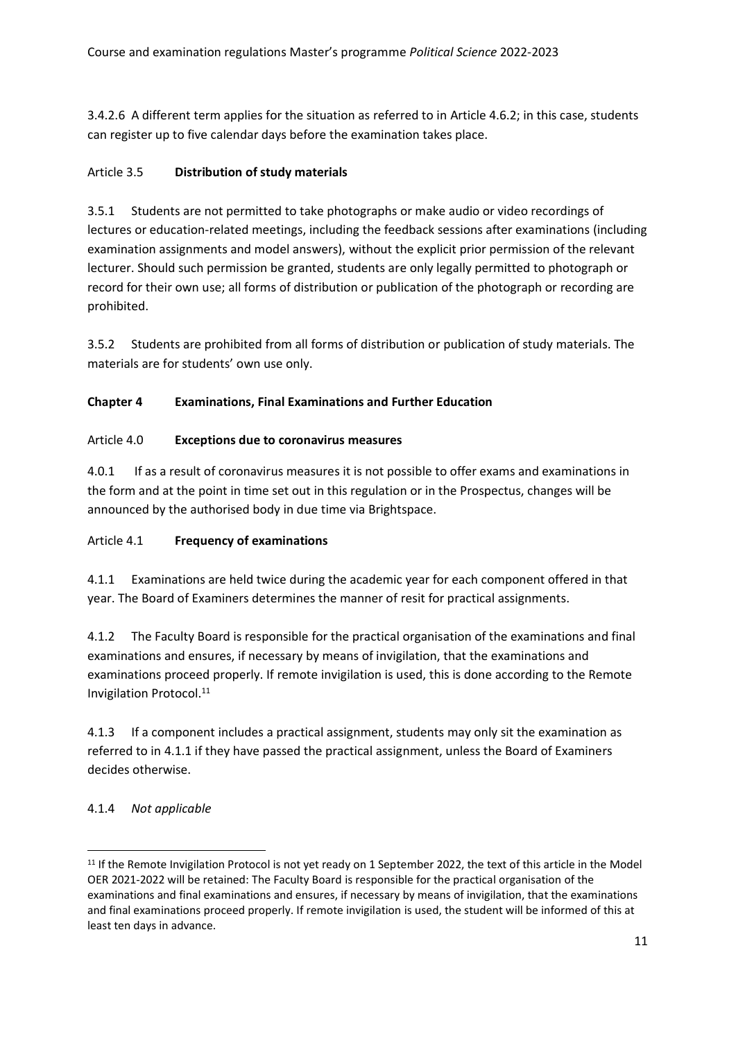3.4.2.6 A different term applies for the situation as referred to in Article 4.6.2; in this case, students can register up to five calendar days before the examination takes place.

# Article 3.5 **Distribution of study materials**

3.5.1 Students are not permitted to take photographs or make audio or video recordings of lectures or education-related meetings, including the feedback sessions after examinations (including examination assignments and model answers), without the explicit prior permission of the relevant lecturer. Should such permission be granted, students are only legally permitted to photograph or record for their own use; all forms of distribution or publication of the photograph or recording are prohibited.

3.5.2 Students are prohibited from all forms of distribution or publication of study materials. The materials are for students' own use only.

# **Chapter 4 Examinations, Final Examinations and Further Education**

# Article 4.0 **Exceptions due to coronavirus measures**

4.0.1 If as a result of coronavirus measures it is not possible to offer exams and examinations in the form and at the point in time set out in this regulation or in the Prospectus, changes will be announced by the authorised body in due time via Brightspace.

# Article 4.1 **Frequency of examinations**

4.1.1 Examinations are held twice during the academic year for each component offered in that year. The Board of Examiners determines the manner of resit for practical assignments.

4.1.2 The Faculty Board is responsible for the practical organisation of the examinations and final examinations and ensures, if necessary by means of invigilation, that the examinations and examinations proceed properly. If remote invigilation is used, this is done according to the Remote Invigilation Protocol.<sup>11</sup>

4.1.3 If a component includes a practical assignment, students may only sit the examination as referred to in 4.1.1 if they have passed the practical assignment, unless the Board of Examiners decides otherwise.

# 4.1.4 *Not applicable*

<sup>&</sup>lt;sup>11</sup> If the Remote Invigilation Protocol is not yet ready on 1 September 2022, the text of this article in the Model OER 2021-2022 will be retained: The Faculty Board is responsible for the practical organisation of the examinations and final examinations and ensures, if necessary by means of invigilation, that the examinations and final examinations proceed properly. If remote invigilation is used, the student will be informed of this at least ten days in advance.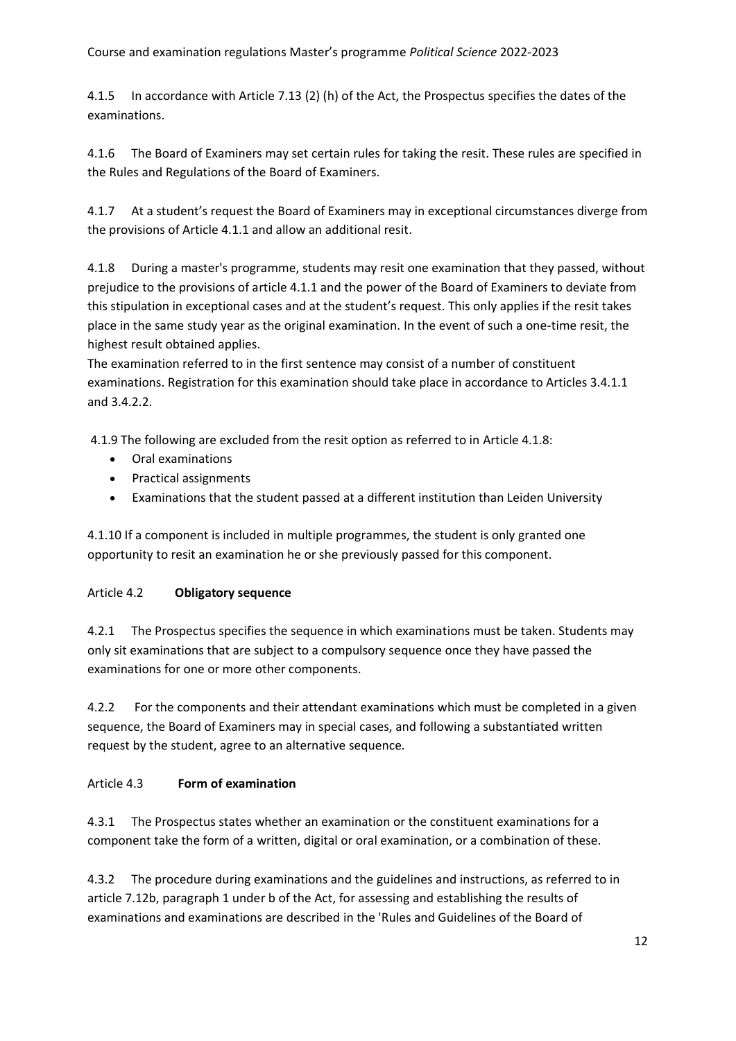4.1.5 In accordance with Article 7.13 (2) (h) of the Act, the Prospectus specifies the dates of the examinations.

4.1.6 The Board of Examiners may set certain rules for taking the resit. These rules are specified in the Rules and Regulations of the Board of Examiners.

4.1.7 At a student's request the Board of Examiners may in exceptional circumstances diverge from the provisions of Article 4.1.1 and allow an additional resit.

4.1.8 During a master's programme, students may resit one examination that they passed, without prejudice to the provisions of article 4.1.1 and the power of the Board of Examiners to deviate from this stipulation in exceptional cases and at the student's request. This only applies if the resit takes place in the same study year as the original examination. In the event of such a one-time resit, the highest result obtained applies.

The examination referred to in the first sentence may consist of a number of constituent examinations. Registration for this examination should take place in accordance to Articles 3.4.1.1 and 3.4.2.2.

4.1.9 The following are excluded from the resit option as referred to in Article 4.1.8:

- Oral examinations
- Practical assignments
- Examinations that the student passed at a different institution than Leiden University

4.1.10 If a component is included in multiple programmes, the student is only granted one opportunity to resit an examination he or she previously passed for this component.

# Article 4.2 **Obligatory sequence**

4.2.1 The Prospectus specifies the sequence in which examinations must be taken. Students may only sit examinations that are subject to a compulsory sequence once they have passed the examinations for one or more other components.

4.2.2 For the components and their attendant examinations which must be completed in a given sequence, the Board of Examiners may in special cases, and following a substantiated written request by the student, agree to an alternative sequence.

# Article 4.3 **Form of examination**

4.3.1 The Prospectus states whether an examination or the constituent examinations for a component take the form of a written, digital or oral examination, or a combination of these.

4.3.2 The procedure during examinations and the guidelines and instructions, as referred to in article 7.12b, paragraph 1 under b of the Act, for assessing and establishing the results of examinations and examinations are described in the 'Rules and Guidelines of the Board of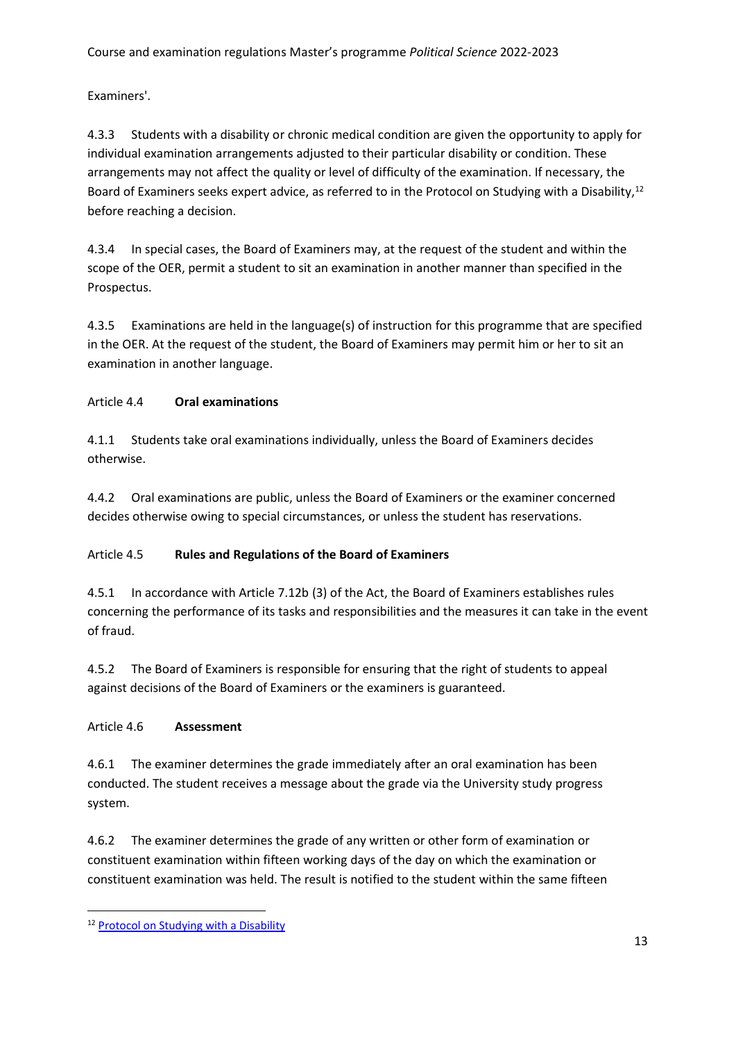Examiners'.

4.3.3 Students with a disability or chronic medical condition are given the opportunity to apply for individual examination arrangements adjusted to their particular disability or condition. These arrangements may not affect the quality or level of difficulty of the examination. If necessary, the Board of Examiners seeks expert advice, as referred to in the Protocol on Studying with a Disability,<sup>12</sup> before reaching a decision.

4.3.4 In special cases, the Board of Examiners may, at the request of the student and within the scope of the OER, permit a student to sit an examination in another manner than specified in the Prospectus.

4.3.5 Examinations are held in the language(s) of instruction for this programme that are specified in the OER. At the request of the student, the Board of Examiners may permit him or her to sit an examination in another language.

# Article 4.4 **Oral examinations**

4.1.1 Students take oral examinations individually, unless the Board of Examiners decides otherwise.

4.4.2 Oral examinations are public, unless the Board of Examiners or the examiner concerned decides otherwise owing to special circumstances, or unless the student has reservations.

# Article 4.5 **Rules and Regulations of the Board of Examiners**

4.5.1 In accordance with Article 7.12b (3) of the Act, the Board of Examiners establishes rules concerning the performance of its tasks and responsibilities and the measures it can take in the event of fraud.

4.5.2 The Board of Examiners is responsible for ensuring that the right of students to appeal against decisions of the Board of Examiners or the examiners is guaranteed.

# Article 4.6 **Assessment**

4.6.1 The examiner determines the grade immediately after an oral examination has been conducted. The student receives a message about the grade via the University study progress system.

4.6.2 The examiner determines the grade of any written or other form of examination or constituent examination within fifteen working days of the day on which the examination or constituent examination was held. The result is notified to the student within the same fifteen

<sup>12</sup> Protocol on Studying with a [Disability](https://www.organisatiegids.universiteitleiden.nl/en/regulations/general/protocol-studying-with-a-disability)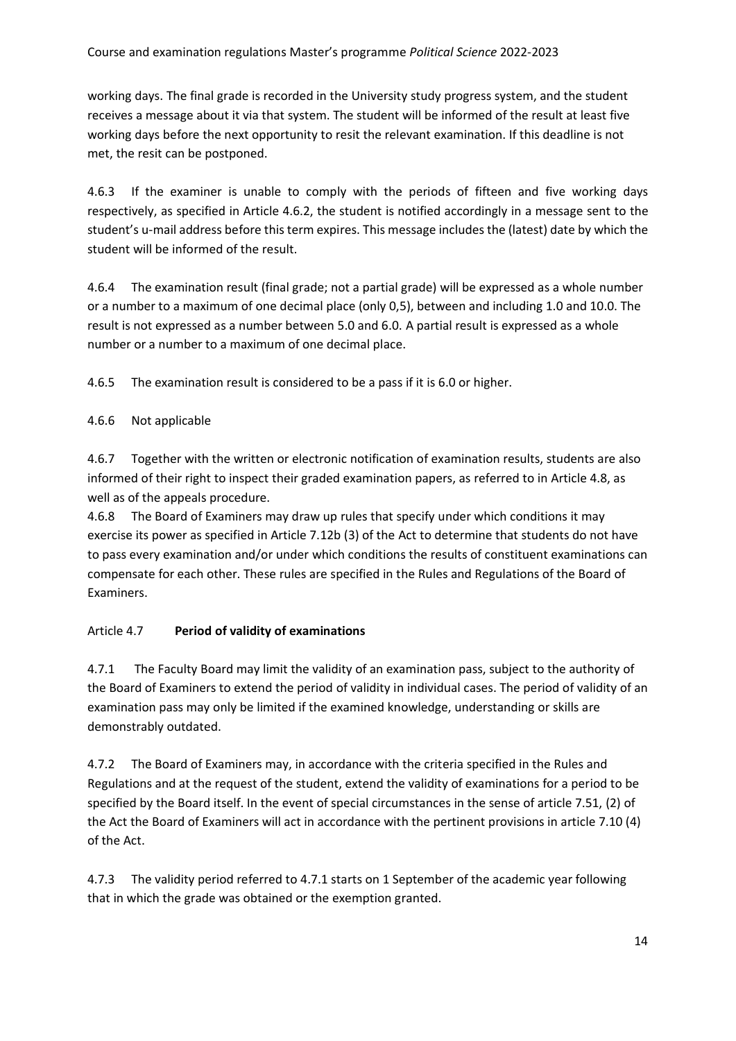working days. The final grade is recorded in the University study progress system, and the student receives a message about it via that system. The student will be informed of the result at least five working days before the next opportunity to resit the relevant examination. If this deadline is not met, the resit can be postponed.

4.6.3 If the examiner is unable to comply with the periods of fifteen and five working days respectively, as specified in Article 4.6.2, the student is notified accordingly in a message sent to the student's u-mail address before this term expires. This message includes the (latest) date by which the student will be informed of the result.

4.6.4 The examination result (final grade; not a partial grade) will be expressed as a whole number or a number to a maximum of one decimal place (only 0,5), between and including 1.0 and 10.0. The result is not expressed as a number between 5.0 and 6.0. A partial result is expressed as a whole number or a number to a maximum of one decimal place.

4.6.5 The examination result is considered to be a pass if it is 6.0 or higher.

# 4.6.6 Not applicable

4.6.7 Together with the written or electronic notification of examination results, students are also informed of their right to inspect their graded examination papers, as referred to in Article 4.8, as well as of the appeals procedure.

4.6.8 The Board of Examiners may draw up rules that specify under which conditions it may exercise its power as specified in Article 7.12b (3) of the Act to determine that students do not have to pass every examination and/or under which conditions the results of constituent examinations can compensate for each other. These rules are specified in the Rules and Regulations of the Board of Examiners.

# Article 4.7 **Period of validity of examinations**

4.7.1 The Faculty Board may limit the validity of an examination pass, subject to the authority of the Board of Examiners to extend the period of validity in individual cases. The period of validity of an examination pass may only be limited if the examined knowledge, understanding or skills are demonstrably outdated.

4.7.2 The Board of Examiners may, in accordance with the criteria specified in the Rules and Regulations and at the request of the student, extend the validity of examinations for a period to be specified by the Board itself. In the event of special circumstances in the sense of article 7.51, (2) of the Act the Board of Examiners will act in accordance with the pertinent provisions in article 7.10 (4) of the Act.

4.7.3 The validity period referred to 4.7.1 starts on 1 September of the academic year following that in which the grade was obtained or the exemption granted.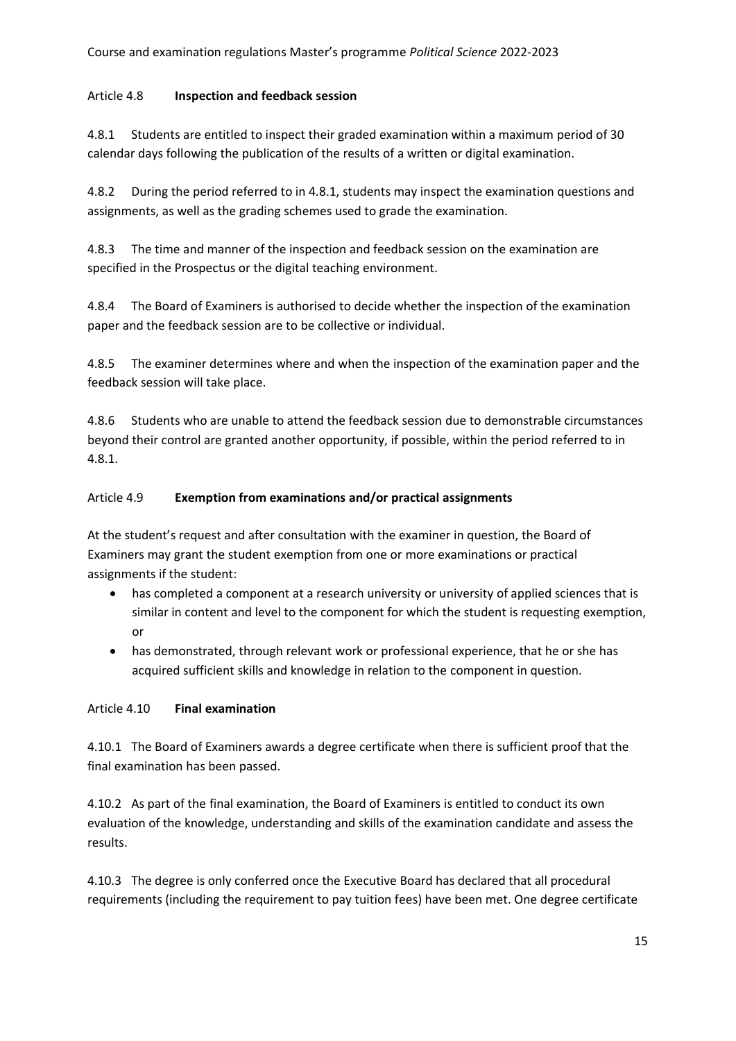# Article 4.8 **Inspection and feedback session**

4.8.1 Students are entitled to inspect their graded examination within a maximum period of 30 calendar days following the publication of the results of a written or digital examination.

4.8.2 During the period referred to in 4.8.1, students may inspect the examination questions and assignments, as well as the grading schemes used to grade the examination.

4.8.3 The time and manner of the inspection and feedback session on the examination are specified in the Prospectus or the digital teaching environment.

4.8.4 The Board of Examiners is authorised to decide whether the inspection of the examination paper and the feedback session are to be collective or individual.

4.8.5 The examiner determines where and when the inspection of the examination paper and the feedback session will take place.

4.8.6 Students who are unable to attend the feedback session due to demonstrable circumstances beyond their control are granted another opportunity, if possible, within the period referred to in 4.8.1.

# Article 4.9 **Exemption from examinations and/or practical assignments**

At the student's request and after consultation with the examiner in question, the Board of Examiners may grant the student exemption from one or more examinations or practical assignments if the student:

- has completed a component at a research university or university of applied sciences that is similar in content and level to the component for which the student is requesting exemption, or
- has demonstrated, through relevant work or professional experience, that he or she has acquired sufficient skills and knowledge in relation to the component in question.

# Article 4.10 **Final examination**

4.10.1 The Board of Examiners awards a degree certificate when there is sufficient proof that the final examination has been passed.

4.10.2 As part of the final examination, the Board of Examiners is entitled to conduct its own evaluation of the knowledge, understanding and skills of the examination candidate and assess the results.

4.10.3 The degree is only conferred once the Executive Board has declared that all procedural requirements (including the requirement to pay tuition fees) have been met. One degree certificate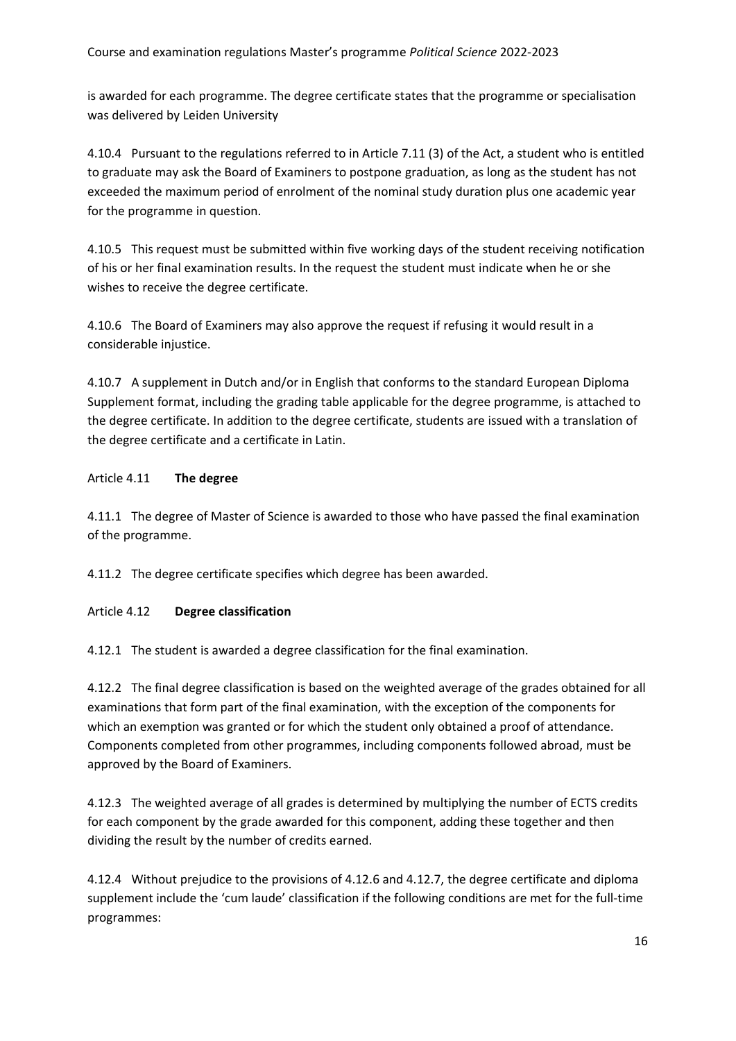is awarded for each programme. The degree certificate states that the programme or specialisation was delivered by Leiden University

4.10.4 Pursuant to the regulations referred to in Article 7.11 (3) of the Act, a student who is entitled to graduate may ask the Board of Examiners to postpone graduation, as long as the student has not exceeded the maximum period of enrolment of the nominal study duration plus one academic year for the programme in question.

4.10.5 This request must be submitted within five working days of the student receiving notification of his or her final examination results. In the request the student must indicate when he or she wishes to receive the degree certificate.

4.10.6 The Board of Examiners may also approve the request if refusing it would result in a considerable injustice.

4.10.7 A supplement in Dutch and/or in English that conforms to the standard European Diploma Supplement format, including the grading table applicable for the degree programme, is attached to the degree certificate. In addition to the degree certificate, students are issued with a translation of the degree certificate and a certificate in Latin.

# Article 4.11 **The degree**

4.11.1 The degree of Master of Science is awarded to those who have passed the final examination of the programme.

4.11.2 The degree certificate specifies which degree has been awarded.

# Article 4.12 **Degree classification**

4.12.1 The student is awarded a degree classification for the final examination.

4.12.2 The final degree classification is based on the weighted average of the grades obtained for all examinations that form part of the final examination, with the exception of the components for which an exemption was granted or for which the student only obtained a proof of attendance. Components completed from other programmes, including components followed abroad, must be approved by the Board of Examiners.

4.12.3 The weighted average of all grades is determined by multiplying the number of ECTS credits for each component by the grade awarded for this component, adding these together and then dividing the result by the number of credits earned.

4.12.4 Without prejudice to the provisions of 4.12.6 and 4.12.7, the degree certificate and diploma supplement include the 'cum laude' classification if the following conditions are met for the full-time programmes: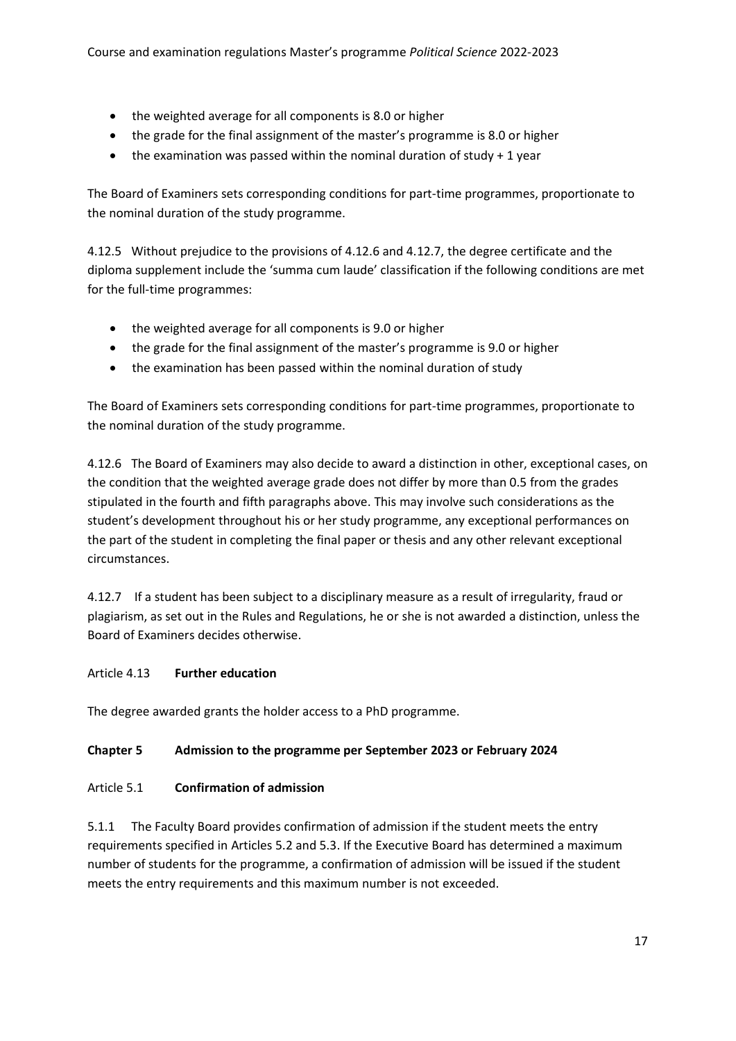- the weighted average for all components is 8.0 or higher
- the grade for the final assignment of the master's programme is 8.0 or higher
- $\bullet$  the examination was passed within the nominal duration of study + 1 year

The Board of Examiners sets corresponding conditions for part-time programmes, proportionate to the nominal duration of the study programme.

4.12.5 Without prejudice to the provisions of 4.12.6 and 4.12.7, the degree certificate and the diploma supplement include the 'summa cum laude' classification if the following conditions are met for the full-time programmes:

- the weighted average for all components is 9.0 or higher
- the grade for the final assignment of the master's programme is 9.0 or higher
- the examination has been passed within the nominal duration of study

The Board of Examiners sets corresponding conditions for part-time programmes, proportionate to the nominal duration of the study programme.

4.12.6 The Board of Examiners may also decide to award a distinction in other, exceptional cases, on the condition that the weighted average grade does not differ by more than 0.5 from the grades stipulated in the fourth and fifth paragraphs above. This may involve such considerations as the student's development throughout his or her study programme, any exceptional performances on the part of the student in completing the final paper or thesis and any other relevant exceptional circumstances.

4.12.7 If a student has been subject to a disciplinary measure as a result of irregularity, fraud or plagiarism, as set out in the Rules and Regulations, he or she is not awarded a distinction, unless the Board of Examiners decides otherwise.

# Article 4.13 **Further education**

The degree awarded grants the holder access to a PhD programme.

# **Chapter 5 Admission to the programme per September 2023 or February 2024**

# Article 5.1 **Confirmation of admission**

5.1.1 The Faculty Board provides confirmation of admission if the student meets the entry requirements specified in Articles 5.2 and 5.3. If the Executive Board has determined a maximum number of students for the programme, a confirmation of admission will be issued if the student meets the entry requirements and this maximum number is not exceeded.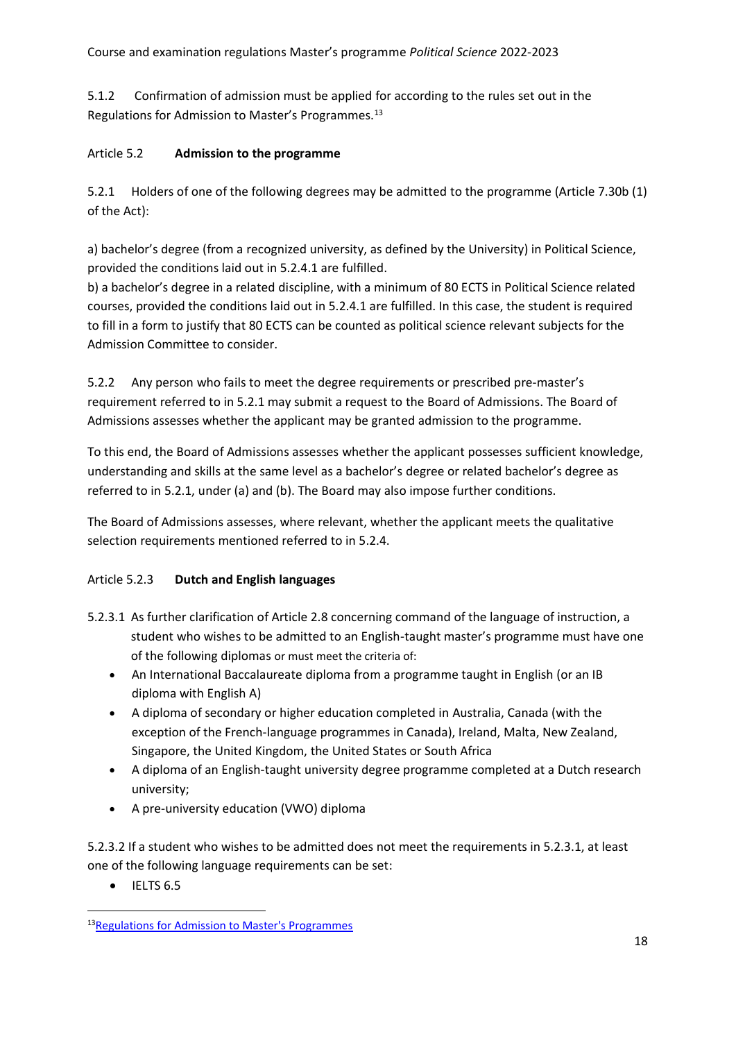5.1.2 Confirmation of admission must be applied for according to the rules set out in the Regulations for Admission to Master's Programmes.<sup>13</sup>

# Article 5.2 **Admission to the programme**

5.2.1 Holders of one of the following degrees may be admitted to the programme (Article 7.30b (1) of the Act):

a) bachelor's degree (from a recognized university, as defined by the University) in Political Science, provided the conditions laid out in 5.2.4.1 are fulfilled.

b) a bachelor's degree in a related discipline, with a minimum of 80 ECTS in Political Science related courses, provided the conditions laid out in 5.2.4.1 are fulfilled. In this case, the student is required to fill in a form to justify that 80 ECTS can be counted as political science relevant subjects for the Admission Committee to consider.

5.2.2 Any person who fails to meet the degree requirements or prescribed pre-master's requirement referred to in 5.2.1 may submit a request to the Board of Admissions. The Board of Admissions assesses whether the applicant may be granted admission to the programme.

To this end, the Board of Admissions assesses whether the applicant possesses sufficient knowledge, understanding and skills at the same level as a bachelor's degree or related bachelor's degree as referred to in 5.2.1, under (a) and (b). The Board may also impose further conditions.

The Board of Admissions assesses, where relevant, whether the applicant meets the qualitative selection requirements mentioned referred to in 5.2.4.

# Article 5.2.3 **Dutch and English languages**

- 5.2.3.1 As further clarification of Article 2.8 concerning command of the language of instruction, a student who wishes to be admitted to an English-taught master's programme must have one of the following diplomas or must meet the criteria of:
	- An [International Baccalaureate](http://www.ibo.org/en/programmes/diploma-programme) diploma from a programme taught in English (or an IB diploma with English A)
	- A diploma of secondary or higher education completed in Australia, Canada (with the exception of the French-language programmes in Canada), Ireland, Malta, New Zealand, Singapore, the United Kingdom, the United States or South Africa
	- A diploma of an English-taught university degree programme completed at a Dutch research university;
	- A pre-university education (VWO) diploma

5.2.3.2 If a student who wishes to be admitted does not meet the requirements in 5.2.3.1, at least one of the following language requirements can be set:

• IELTS 6.5

<sup>13</sup>Regulations for Admission to Master's [Programmes](https://www.organisatiegids.universiteitleiden.nl/en/regulations/general/regulations-for-admission-to-master-programmes)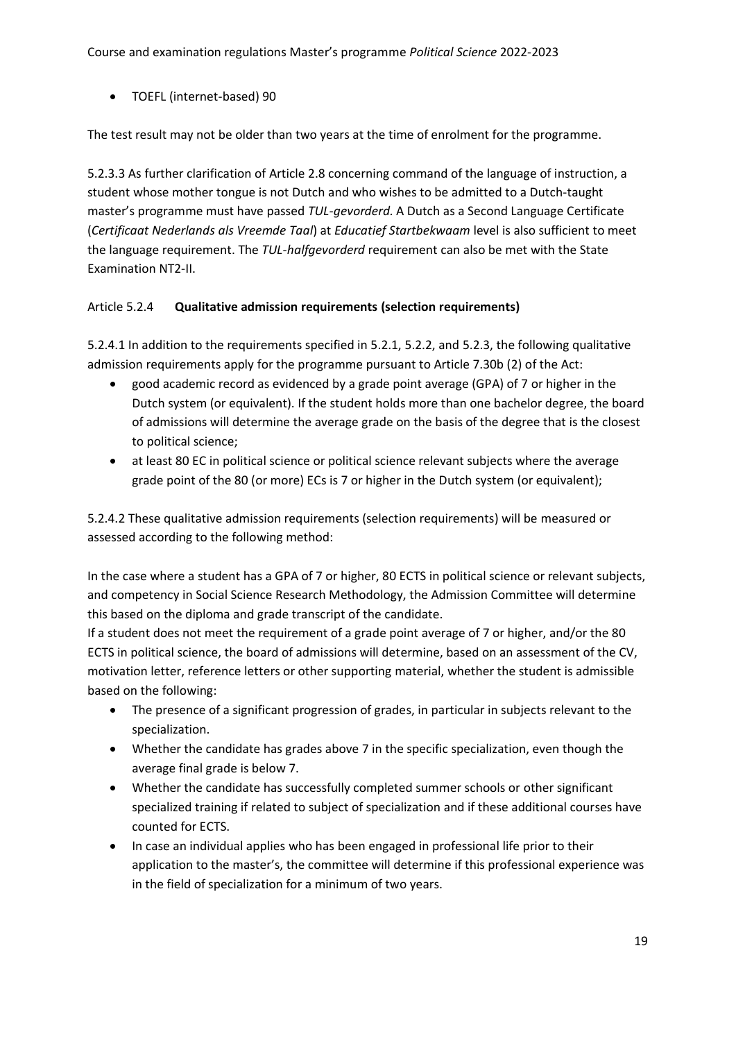• TOEFL (internet-based) 90

The test result may not be older than two years at the time of enrolment for the programme.

5.2.3.3 As further clarification of Article 2.8 concerning command of the language of instruction, a student whose mother tongue is not Dutch and who wishes to be admitted to a Dutch-taught master's programme must have passed *TUL-gevorderd.* A Dutch as a Second Language Certificate (*Certificaat Nederlands als Vreemde Taal*) at *Educatief Startbekwaam* level is also sufficient to meet the language requirement. The *TUL-halfgevorderd* requirement can also be met with the State Examination NT2-II.

# Article 5.2.4 **Qualitative admission requirements (selection requirements)**

5.2.4.1 In addition to the requirements specified in 5.2.1, 5.2.2, and 5.2.3, the following qualitative admission requirements apply for the programme pursuant to Article 7.30b (2) of the Act:

- good academic record as evidenced by a grade point average (GPA) of 7 or higher in the Dutch system (or equivalent). If the student holds more than one bachelor degree, the board of admissions will determine the average grade on the basis of the degree that is the closest to political science;
- at least 80 EC in political science or political science relevant subjects where the average grade point of the 80 (or more) ECs is 7 or higher in the Dutch system (or equivalent);

5.2.4.2 These qualitative admission requirements (selection requirements) will be measured or assessed according to the following method:

In the case where a student has a GPA of 7 or higher, 80 ECTS in political science or relevant subjects, and competency in Social Science Research Methodology, the Admission Committee will determine this based on the diploma and grade transcript of the candidate.

If a student does not meet the requirement of a grade point average of 7 or higher, and/or the 80 ECTS in political science, the board of admissions will determine, based on an assessment of the CV, motivation letter, reference letters or other supporting material, whether the student is admissible based on the following:

- The presence of a significant progression of grades, in particular in subjects relevant to the specialization.
- Whether the candidate has grades above 7 in the specific specialization, even though the average final grade is below 7.
- Whether the candidate has successfully completed summer schools or other significant specialized training if related to subject of specialization and if these additional courses have counted for ECTS.
- In case an individual applies who has been engaged in professional life prior to their application to the master's, the committee will determine if this professional experience was in the field of specialization for a minimum of two years.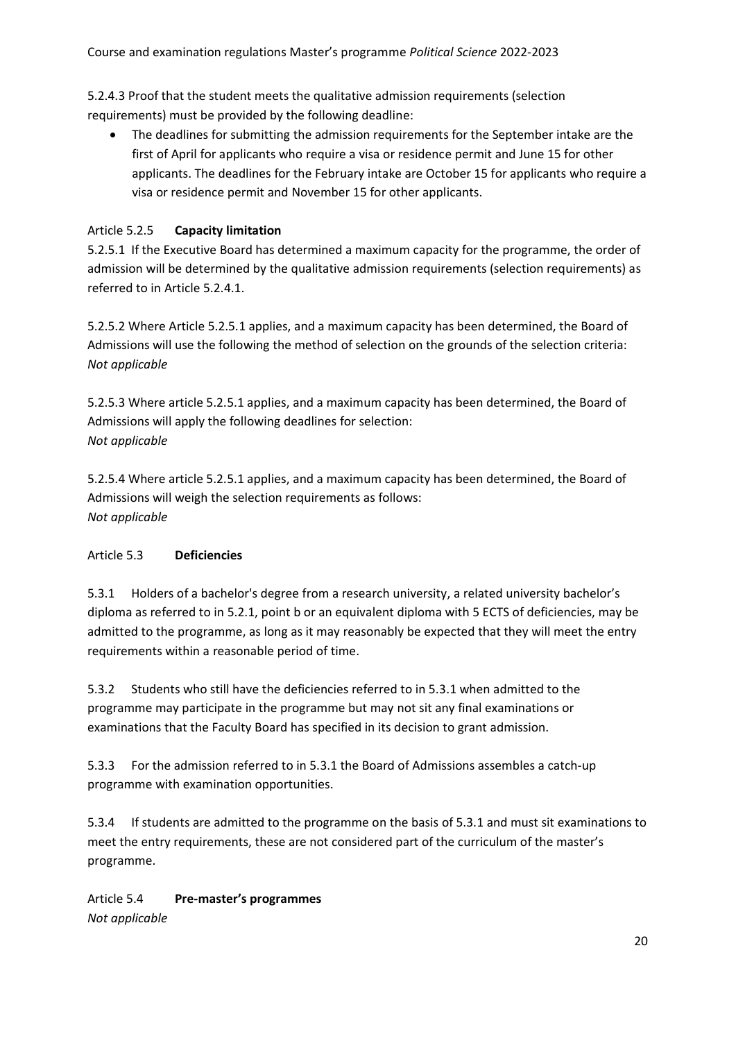5.2.4.3 Proof that the student meets the qualitative admission requirements (selection requirements) must be provided by the following deadline:

• The deadlines for submitting the admission requirements for the September intake are the first of April for applicants who require a visa or residence permit and June 15 for other applicants. The deadlines for the February intake are October 15 for applicants who require a visa or residence permit and November 15 for other applicants.

# Article 5.2.5 **Capacity limitation**

5.2.5.1 If the Executive Board has determined a maximum capacity for the programme, the order of admission will be determined by the qualitative admission requirements (selection requirements) as referred to in Article 5.2.4.1.

5.2.5.2 Where Article 5.2.5.1 applies, and a maximum capacity has been determined, the Board of Admissions will use the following the method of selection on the grounds of the selection criteria: *Not applicable*

5.2.5.3 Where article 5.2.5.1 applies, and a maximum capacity has been determined, the Board of Admissions will apply the following deadlines for selection: *Not applicable*

5.2.5.4 Where article 5.2.5.1 applies, and a maximum capacity has been determined, the Board of Admissions will weigh the selection requirements as follows: *Not applicable*

# Article 5.3 **Deficiencies**

5.3.1 Holders of a bachelor's degree from a research university, a related university bachelor's diploma as referred to in 5.2.1, point b or an equivalent diploma with 5 ECTS of deficiencies, may be admitted to the programme, as long as it may reasonably be expected that they will meet the entry requirements within a reasonable period of time.

5.3.2 Students who still have the deficiencies referred to in 5.3.1 when admitted to the programme may participate in the programme but may not sit any final examinations or examinations that the Faculty Board has specified in its decision to grant admission.

5.3.3 For the admission referred to in 5.3.1 the Board of Admissions assembles a catch-up programme with examination opportunities.

5.3.4 If students are admitted to the programme on the basis of 5.3.1 and must sit examinations to meet the entry requirements, these are not considered part of the curriculum of the master's programme.

Article 5.4 **Pre-master's programmes** *Not applicable*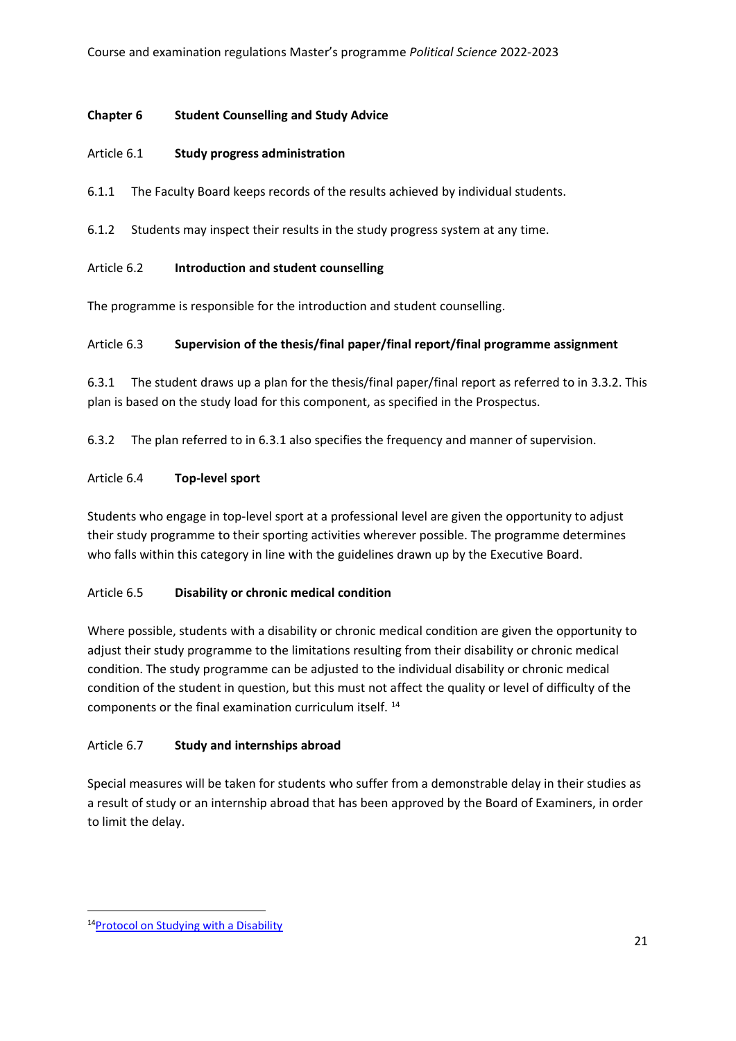### **Chapter 6 Student Counselling and Study Advice**

### Article 6.1 **Study progress administration**

6.1.1 The Faculty Board keeps records of the results achieved by individual students.

6.1.2 Students may inspect their results in the study progress system at any time.

### Article 6.2 **Introduction and student counselling**

The programme is responsible for the introduction and student counselling.

### Article 6.3 **Supervision of the thesis/final paper/final report/final programme assignment**

6.3.1 The student draws up a plan for the thesis/final paper/final report as referred to in 3.3.2. This plan is based on the study load for this component, as specified in the Prospectus.

6.3.2 The plan referred to in 6.3.1 also specifies the frequency and manner of supervision.

### Article 6.4 **Top-level sport**

Students who engage in top-level sport at a professional level are given the opportunity to adjust their study programme to their sporting activities wherever possible. The programme determines who falls within this category in line with the guidelines drawn up by the Executive Board.

# Article 6.5 **Disability or chronic medical condition**

Where possible, students with a disability or chronic medical condition are given the opportunity to adjust their study programme to the limitations resulting from their disability or chronic medical condition. The study programme can be adjusted to the individual disability or chronic medical condition of the student in question, but this must not affect the quality or level of difficulty of the components or the final examination curriculum itself. <sup>14</sup>

# Article 6.7 **Study and internships abroad**

Special measures will be taken for students who suffer from a demonstrable delay in their studies as a result of study or an internship abroad that has been approved by the Board of Examiners, in order to limit the delay.

<sup>14</sup>Protocol on Studying with a [Disability](https://www.organisatiegids.universiteitleiden.nl/en/regulations/general/protocol-studying-with-a-disability)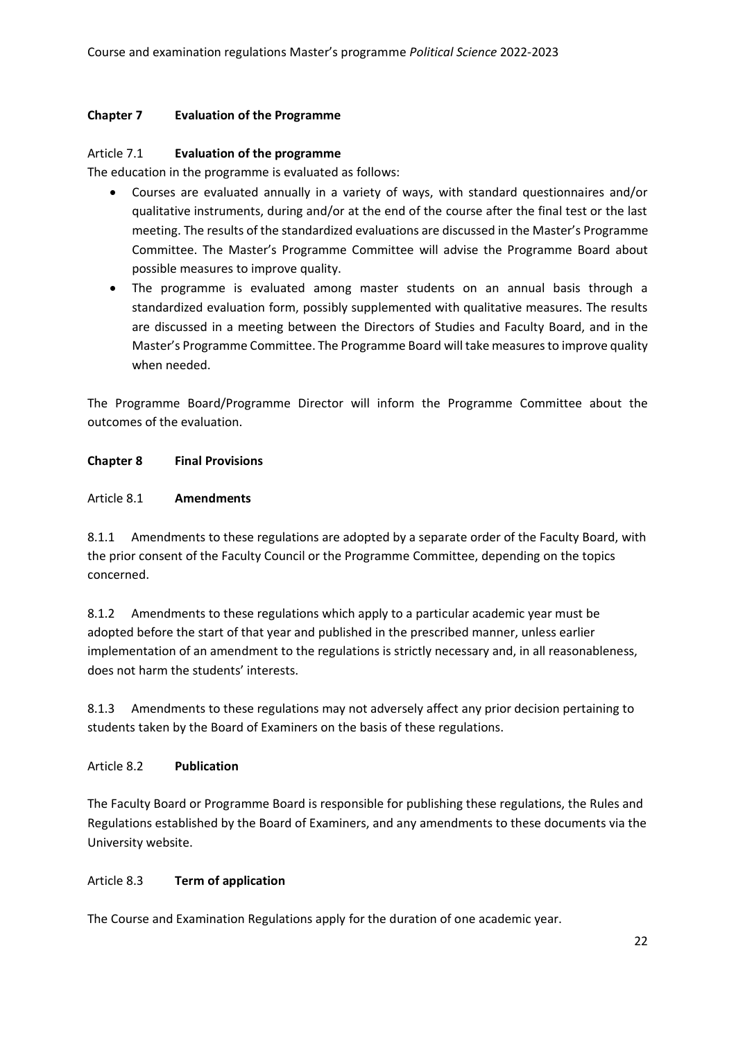### **Chapter 7 Evaluation of the Programme**

#### Article 7.1 **Evaluation of the programme**

The education in the programme is evaluated as follows:

- Courses are evaluated annually in a variety of ways, with standard questionnaires and/or qualitative instruments, during and/or at the end of the course after the final test or the last meeting. The results of the standardized evaluations are discussed in the Master's Programme Committee. The Master's Programme Committee will advise the Programme Board about possible measures to improve quality.
- The programme is evaluated among master students on an annual basis through a standardized evaluation form, possibly supplemented with qualitative measures. The results are discussed in a meeting between the Directors of Studies and Faculty Board, and in the Master's Programme Committee. The Programme Board will take measures to improve quality when needed.

The Programme Board/Programme Director will inform the Programme Committee about the outcomes of the evaluation.

### **Chapter 8 Final Provisions**

#### Article 8.1 **Amendments**

8.1.1 Amendments to these regulations are adopted by a separate order of the Faculty Board, with the prior consent of the Faculty Council or the Programme Committee, depending on the topics concerned.

8.1.2 Amendments to these regulations which apply to a particular academic year must be adopted before the start of that year and published in the prescribed manner, unless earlier implementation of an amendment to the regulations is strictly necessary and, in all reasonableness, does not harm the students' interests.

8.1.3 Amendments to these regulations may not adversely affect any prior decision pertaining to students taken by the Board of Examiners on the basis of these regulations.

#### Article 8.2 **Publication**

The Faculty Board or Programme Board is responsible for publishing these regulations, the Rules and Regulations established by the Board of Examiners, and any amendments to these documents via the University website.

# Article 8.3 **Term of application**

The Course and Examination Regulations apply for the duration of one academic year.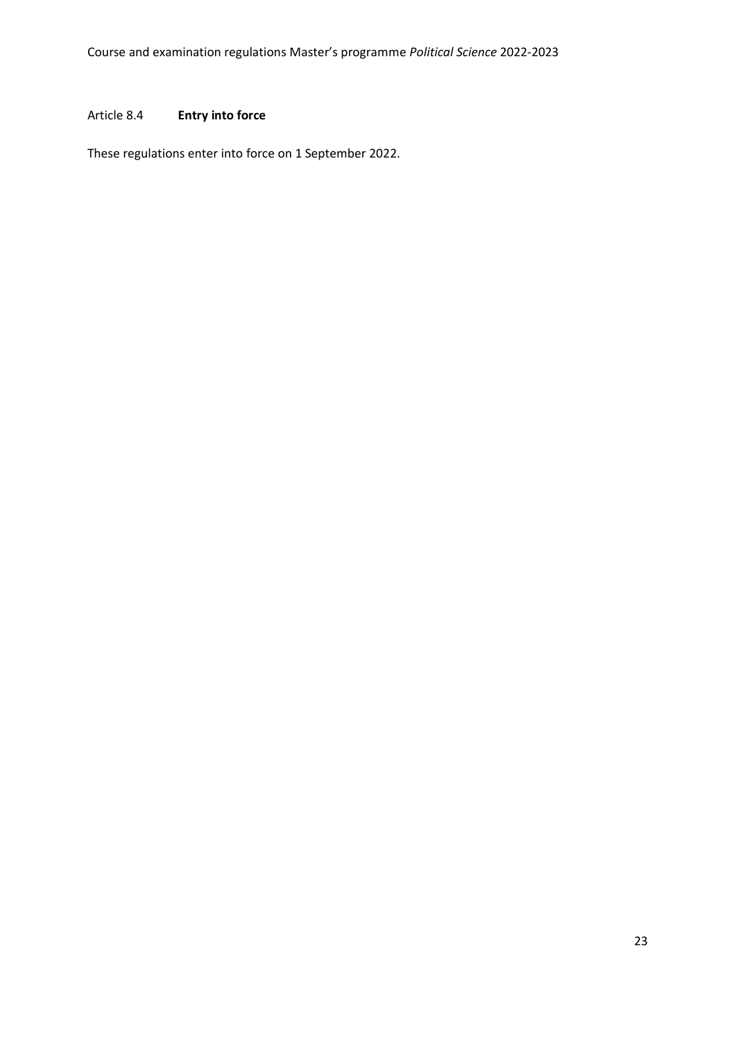### Article 8.4 **Entry into force**

These regulations enter into force on 1 September 2022.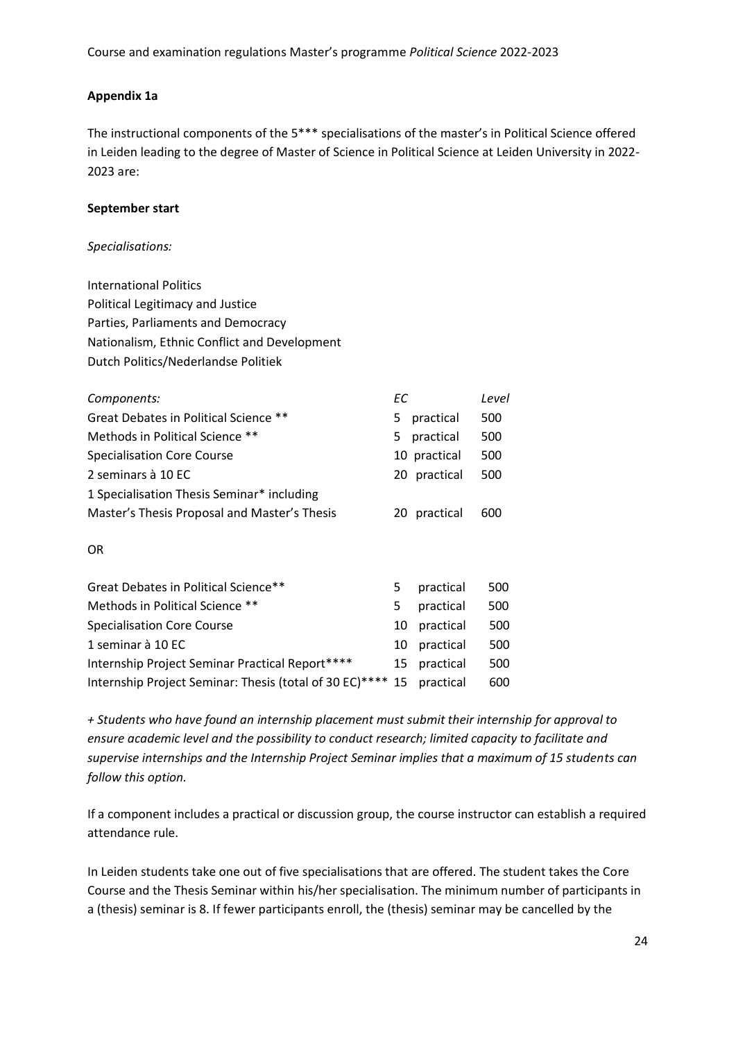### **Appendix 1a**

The instructional components of the 5\*\*\* specialisations of the master's in Political Science offered in Leiden leading to the degree of Master of Science in Political Science at Leiden University in 2022- 2023 are:   

#### **September start**

#### *Specialisations:*

International Politics    Political Legitimacy and Justice    Parties, Parliaments and Democracy    Nationalism, Ethnic Conflict and Development    Dutch Politics/Nederlandse Politiek  

| Components:                                  | ЕC. |              | Level |
|----------------------------------------------|-----|--------------|-------|
| Great Debates in Political Science **        | 5.  | practical    | 500   |
| Methods in Political Science **              | 5.  | practical    | 500   |
| <b>Specialisation Core Course</b>            |     | 10 practical | 500   |
| 2 seminars à 10 EC                           |     | 20 practical | 500   |
| 1 Specialisation Thesis Seminar* including   |     |              |       |
| Master's Thesis Proposal and Master's Thesis |     | 20 practical | 600   |
| OR.                                          |     |              |       |
| Great Debates in Political Science**         | 5.  | practical    | 500   |
| Methods in Political Science **              | 5   | practical    | 500   |
| <b>Specialisation Core Course</b>            | 10  | practical    | 500   |
| 1 seminar à 10 EC                            | 10  | practical    | 500   |

Internship Project Seminar Practical Report\*\*\*\*       15    practical      500    Internship Project Seminar: Thesis (total of 30 EC)\*\*\*\* 15    practical     600   

*+ Students who have found an internship placement must submit their internship for approval to ensure academic level and the possibility to conduct research; limited capacity to facilitate and supervise internships and the Internship Project Seminar implies that a maximum of 15 students can follow this option.*

If a component includes a practical or discussion group, the course instructor can establish a required attendance rule.   

In Leiden students take one out of five specialisations that are offered. The student takes the Core Course and the Thesis Seminar within his/her specialisation. The minimum number of participants in a (thesis) seminar is 8. If fewer participants enroll, the (thesis) seminar may be cancelled by the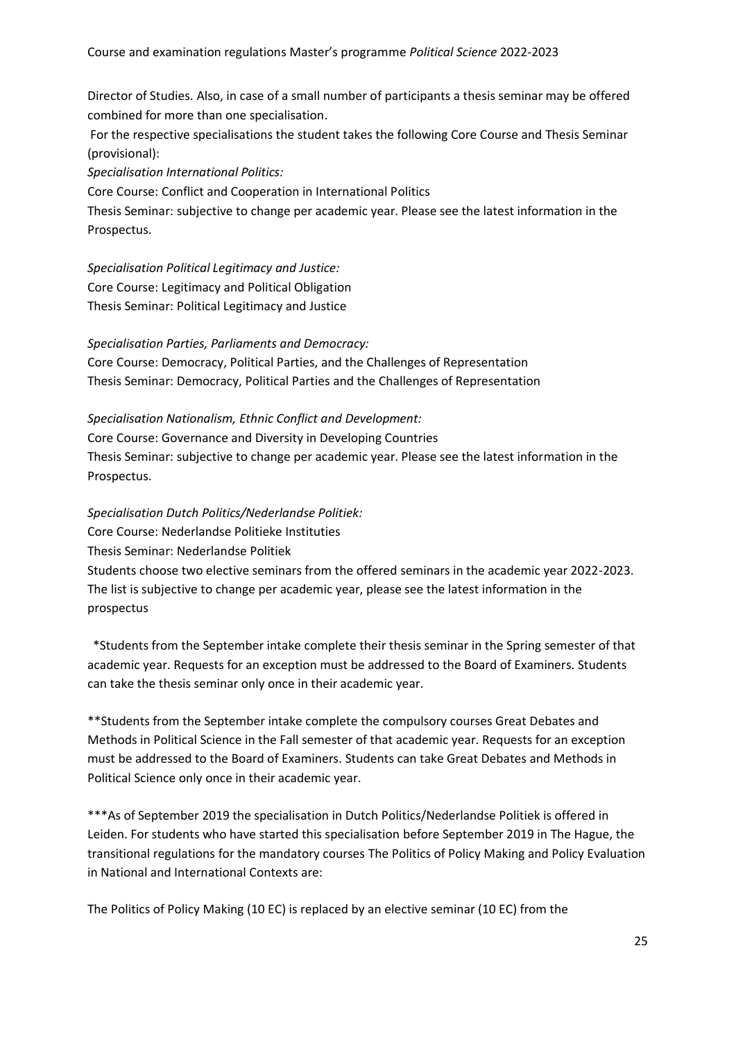Director of Studies. Also, in case of a small number of participants a thesis seminar may be offered combined for more than one specialisation.  

For the respective specialisations the student takes the following Core Course and Thesis Seminar (provisional):   

*Specialisation International Politics:*

Core Course: Conflict and Cooperation in International Politics

Thesis Seminar: subjective to change per academic year. Please see the latest information in the Prospectus.  

*Specialisation Political Legitimacy and Justice:* Core Course: Legitimacy and Political Obligation    Thesis Seminar: Political Legitimacy and Justice   

*Specialisation Parties, Parliaments and Democracy:* Core Course: Democracy, Political Parties, and the Challenges of Representation    Thesis Seminar: Democracy, Political Parties and the Challenges of Representation   

*Specialisation Nationalism, Ethnic Conflict and Development:* Core Course: Governance and Diversity in Developing Countries    Thesis Seminar: subjective to change per academic year. Please see the latest information in the Prospectus.  

*Specialisation Dutch Politics/Nederlandse Politiek:*   Core Course: Nederlandse Politieke Instituties   Thesis Seminar: Nederlandse Politiek Students choose two elective seminars from the offered seminars in the academic year 2022-2023. The list is subjective to change per academic year, please see the latest information in the prospectus  

  \*Students from the September intake complete their thesis seminar in the Spring semester of that academic year. Requests for an exception must be addressed to the Board of Examiners. Students can take the thesis seminar only once in their academic year.   

\*\*Students from the September intake complete the compulsory courses Great Debates and Methods in Political Science in the Fall semester of that academic year. Requests for an exception must be addressed to the Board of Examiners. Students can take Great Debates and Methods in Political Science only once in their academic year.   

\*\*\*As of September 2019 the specialisation in Dutch Politics/Nederlandse Politiek is offered in Leiden. For students who have started this specialisation before September 2019 in The Hague, the transitional regulations for the mandatory courses The Politics of Policy Making and Policy Evaluation in National and International Contexts are:  

The Politics of Policy Making (10 EC) is replaced by an elective seminar (10 EC) from the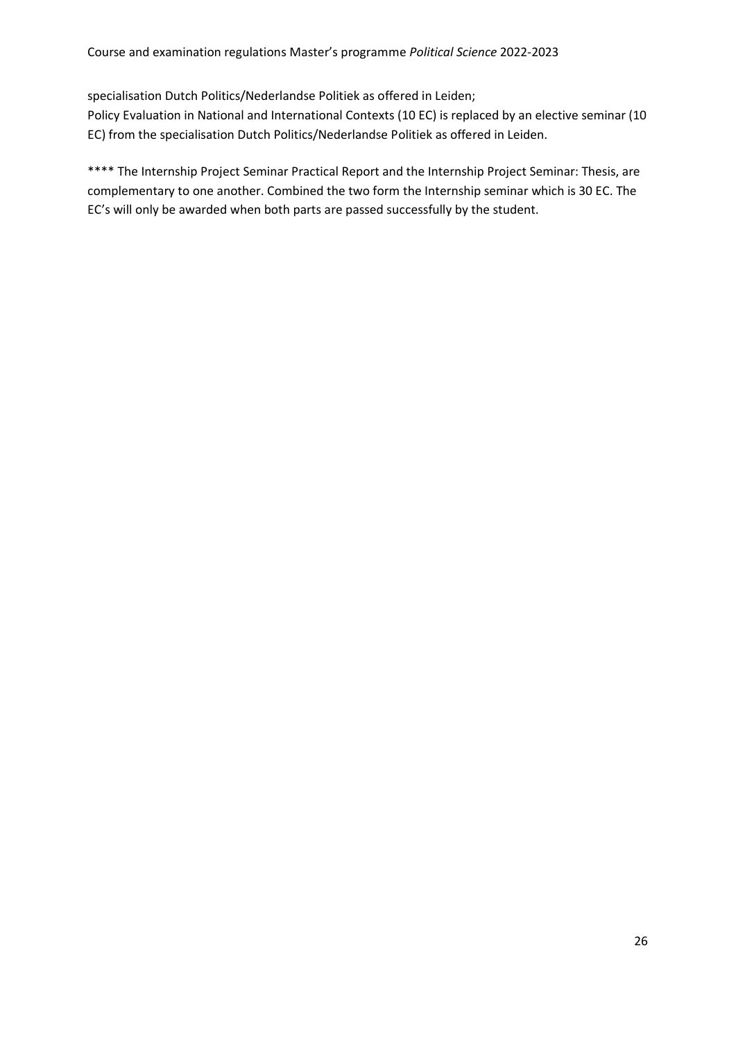specialisation Dutch Politics/Nederlandse Politiek as offered in Leiden;  

Policy Evaluation in National and International Contexts (10 EC) is replaced by an elective seminar (10 EC) from the specialisation Dutch Politics/Nederlandse Politiek as offered in Leiden.  

\*\*\*\* The Internship Project Seminar Practical Report and the Internship Project Seminar: Thesis, are complementary to one another. Combined the two form the Internship seminar which is 30 EC. The EC's will only be awarded when both parts are passed successfully by the student.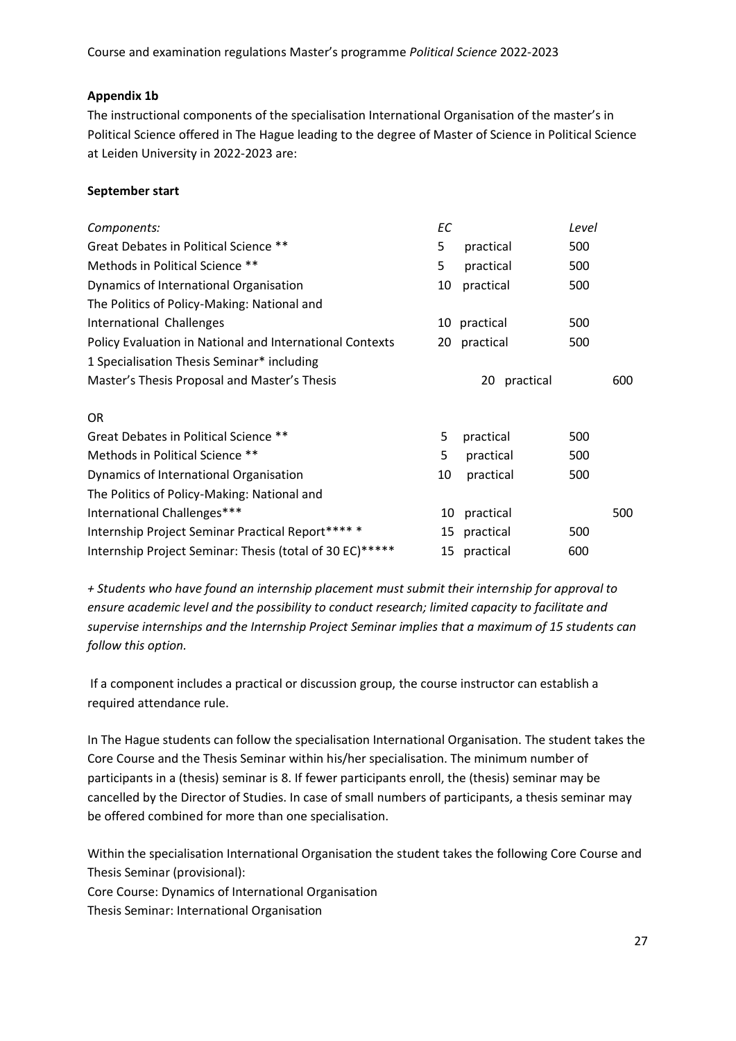# **Appendix 1b**

The instructional components of the specialisation International Organisation of the master's in Political Science offered in The Hague leading to the degree of Master of Science in Political Science at Leiden University in 2022-2023 are:   

# **September start**

|                 | Level |
|-----------------|-------|
| practical       | 500   |
| practical       | 500   |
| practical       | 500   |
|                 |       |
| 10 practical    | 500   |
| 20 practical    | 500   |
|                 |       |
| practical<br>20 | 600   |
|                 |       |
| practical       | 500   |
| practical       | 500   |
| practical       | 500   |
|                 |       |
| practical<br>10 | 500   |
| 15 practical    | 500   |
| practical<br>15 | 600   |
|                 |       |

*+ Students who have found an internship placement must submit their internship for approval to ensure academic level and the possibility to conduct research; limited capacity to facilitate and supervise internships and the Internship Project Seminar implies that a maximum of 15 students can follow this option.*

If a component includes a practical or discussion group, the course instructor can establish a required attendance rule.   

In The Hague students can follow the specialisation International Organisation. The student takes the Core Course and the Thesis Seminar within his/her specialisation. The minimum number of participants in a (thesis) seminar is 8. If fewer participants enroll, the (thesis) seminar may be cancelled by the Director of Studies. In case of small numbers of participants, a thesis seminar may be offered combined for more than one specialisation.  

Within the specialisation International Organisation the student takes the following Core Course and Thesis Seminar (provisional):   

Core Course: Dynamics of International Organisation   

Thesis Seminar: International Organisation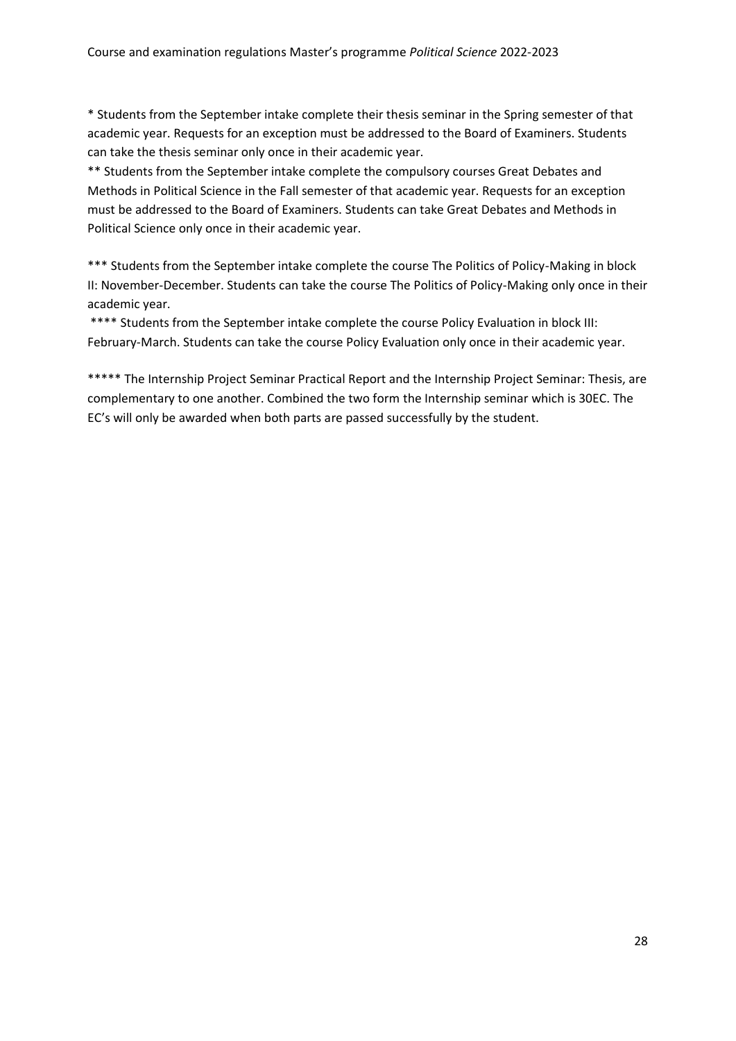\* Students from the September intake complete their thesis seminar in the Spring semester of that academic year. Requests for an exception must be addressed to the Board of Examiners. Students can take the thesis seminar only once in their academic year.   

\*\* Students from the September intake complete the compulsory courses Great Debates and Methods in Political Science in the Fall semester of that academic year. Requests for an exception must be addressed to the Board of Examiners. Students can take Great Debates and Methods in Political Science only once in their academic year.   

\*\*\* Students from the September intake complete the course The Politics of Policy-Making in block II: November-December. Students can take the course The Politics of Policy-Making only once in their academic year.   

\*\*\*\* Students from the September intake complete the course Policy Evaluation in block III: February-March. Students can take the course Policy Evaluation only once in their academic year.   

\*\*\*\*\* The Internship Project Seminar Practical Report and the Internship Project Seminar: Thesis, are complementary to one another. Combined the two form the Internship seminar which is 30EC. The EC's will only be awarded when both parts are passed successfully by the student.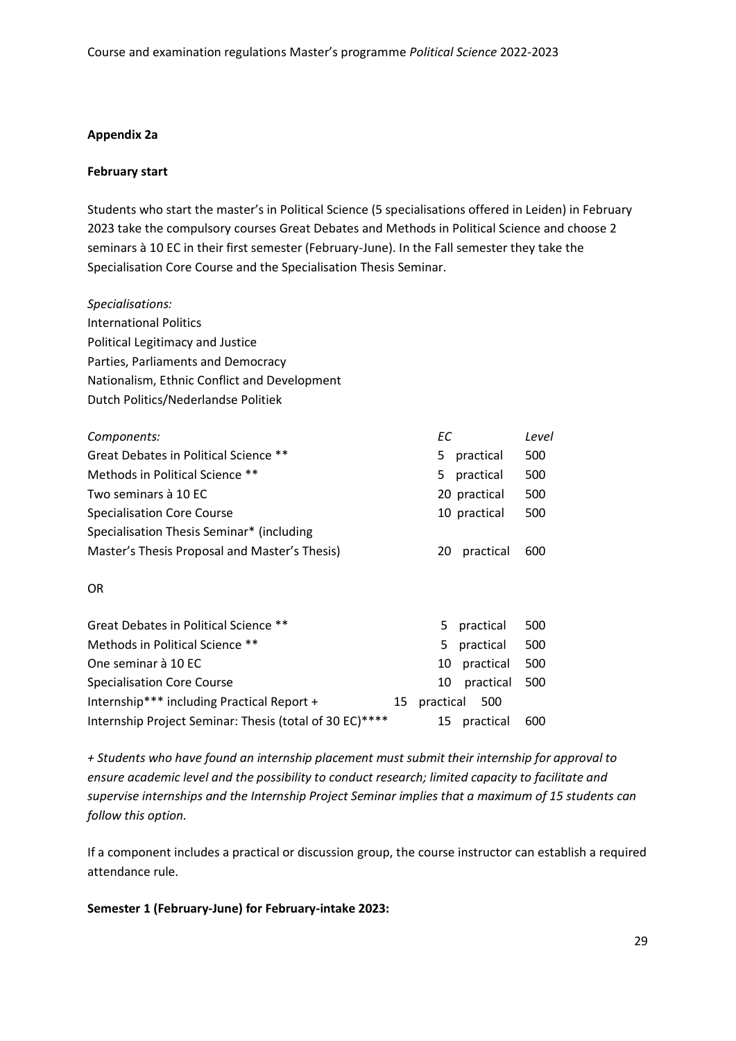#### **Appendix 2a**

#### **February start**

Students who start the master's in Political Science (5 specialisations offered in Leiden) in February 2023 take the compulsory courses Great Debates and Methods in Political Science and choose 2 seminars à 10 EC in their first semester (February-June). In the Fall semester they take the Specialisation Core Course and the Specialisation Thesis Seminar.   

*Specialisations:* International Politics    Political Legitimacy and Justice    Parties, Parliaments and Democracy    Nationalism, Ethnic Conflict and Development    Dutch Politics/Nederlandse Politiek  

| Components:                                             |    | ЕC        |              | Level |
|---------------------------------------------------------|----|-----------|--------------|-------|
| Great Debates in Political Science **                   |    | 5.        | practical    | 500   |
| Methods in Political Science **                         |    | 5         | practical    | 500   |
| Two seminars à 10 EC                                    |    |           | 20 practical | 500   |
| <b>Specialisation Core Course</b>                       |    |           | 10 practical | 500   |
| Specialisation Thesis Seminar* (including               |    |           |              |       |
| Master's Thesis Proposal and Master's Thesis)           |    | 20        | practical    | 600   |
| OR.                                                     |    |           |              |       |
| Great Debates in Political Science **                   |    | 5.        | practical    | 500   |
| Methods in Political Science **                         |    | 5         | practical    | 500   |
| One seminar à 10 EC                                     |    | 10        | practical    | 500   |
| <b>Specialisation Core Course</b>                       |    | 10        | practical    | 500   |
| Internship*** including Practical Report +              | 15 | practical | 500          |       |
| Internship Project Seminar: Thesis (total of 30 EC)**** |    | 15        | practical    | 600   |

*+ Students who have found an internship placement must submit their internship for approval to ensure academic level and the possibility to conduct research; limited capacity to facilitate and supervise internships and the Internship Project Seminar implies that a maximum of 15 students can follow this option.*

If a component includes a practical or discussion group, the course instructor can establish a required attendance rule.   

**Semester 1 (February-June) for February-intake 2023:**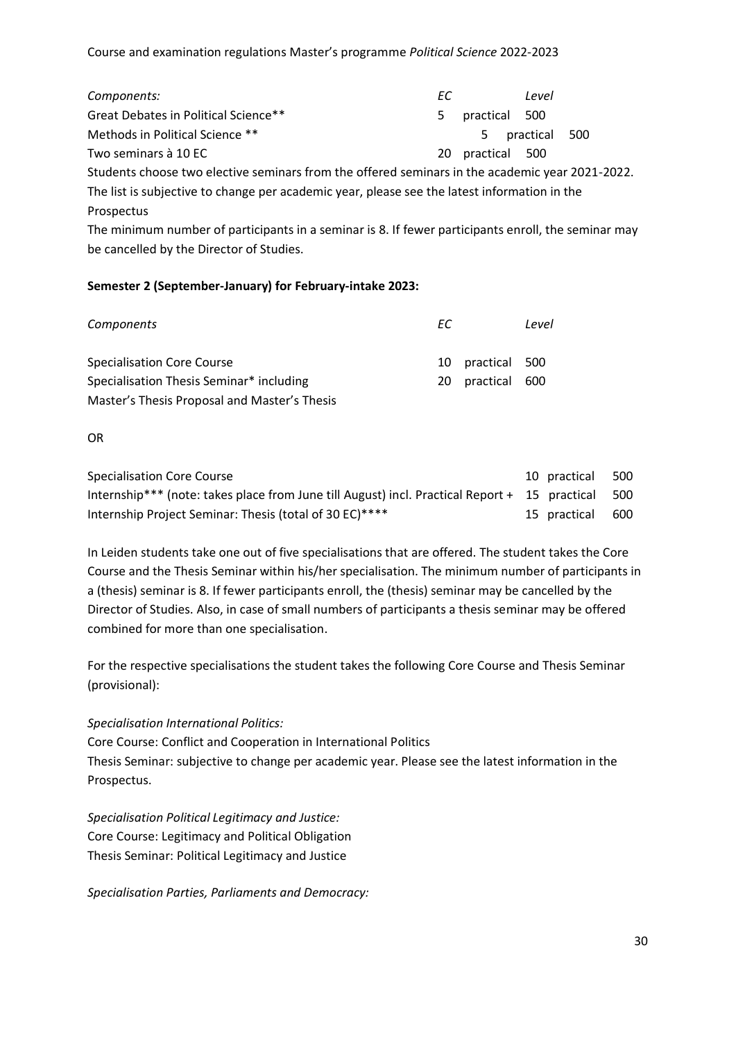| Components:                          | EC. |                 | Level            |  |
|--------------------------------------|-----|-----------------|------------------|--|
| Great Debates in Political Science** |     | 5 practical 500 |                  |  |
| Methods in Political Science **      |     |                 | 5 practical 500  |  |
| Two seminars à 10 EC                 |     |                 | 20 practical 500 |  |

Students choose two elective seminars from the offered seminars in the academic year 2021-2022. The list is subjective to change per academic year, please see the latest information in the Prospectus     

The minimum number of participants in a seminar is 8. If fewer participants enroll, the seminar may be cancelled by the Director of Studies.  

# **Semester 2 (September-January) for February-intake 2023:**

| <b>Components</b>                            | EC. |                  | Level |
|----------------------------------------------|-----|------------------|-------|
| <b>Specialisation Core Course</b>            |     | 10 practical 500 |       |
| Specialisation Thesis Seminar* including     |     | 20 practical 600 |       |
| Master's Thesis Proposal and Master's Thesis |     |                  |       |

OR   

| Specialisation Core Course                                                                        | 10 practical | - 500 |
|---------------------------------------------------------------------------------------------------|--------------|-------|
| Internship*** (note: takes place from June till August) incl. Practical Report + 15 practical 500 |              |       |
| Internship Project Seminar: Thesis (total of 30 EC)****                                           | 15 practical | . 600 |

In Leiden students take one out of five specialisations that are offered. The student takes the Core Course and the Thesis Seminar within his/her specialisation. The minimum number of participants in a (thesis) seminar is 8. If fewer participants enroll, the (thesis) seminar may be cancelled by the Director of Studies. Also, in case of small numbers of participants a thesis seminar may be offered combined for more than one specialisation.  

For the respective specialisations the student takes the following Core Course and Thesis Seminar (provisional):   

#### *Specialisation International Politics:*

Core Course: Conflict and Cooperation in International Politics    Thesis Seminar: subjective to change per academic year. Please see the latest information in the Prospectus.  

*Specialisation Political Legitimacy and Justice:* Core Course: Legitimacy and Political Obligation    Thesis Seminar: Political Legitimacy and Justice   

*Specialisation Parties, Parliaments and Democracy:*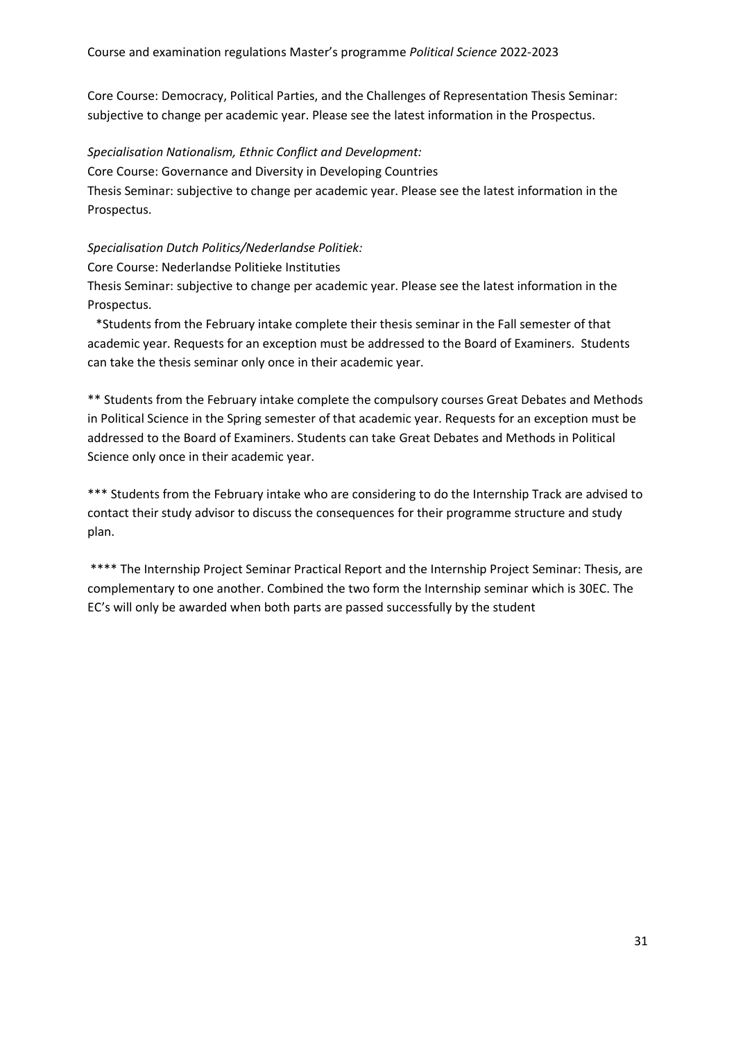Core Course: Democracy, Political Parties, and the Challenges of Representation Thesis Seminar: subjective to change per academic year. Please see the latest information in the Prospectus.  

*Specialisation Nationalism, Ethnic Conflict and Development:*

Core Course: Governance and Diversity in Developing Countries   

Thesis Seminar: subjective to change per academic year. Please see the latest information in the Prospectus.  

*Specialisation Dutch Politics/Nederlandse Politiek:*

Core Course: Nederlandse Politieke Instituties  

Thesis Seminar: subjective to change per academic year. Please see the latest information in the Prospectus.  

   \*Students from the February intake complete their thesis seminar in the Fall semester of that academic year. Requests for an exception must be addressed to the Board of Examiners. Students can take the thesis seminar only once in their academic year.   

\*\* Students from the February intake complete the compulsory courses Great Debates and Methods in Political Science in the Spring semester of that academic year. Requests for an exception must be addressed to the Board of Examiners. Students can take Great Debates and Methods in Political Science only once in their academic year.   

\*\*\* Students from the February intake who are considering to do the Internship Track are advised to contact their study advisor to discuss the consequences for their programme structure and study plan.   

\*\*\*\* The Internship Project Seminar Practical Report and the Internship Project Seminar: Thesis, are complementary to one another. Combined the two form the Internship seminar which is 30EC. The EC's will only be awarded when both parts are passed successfully by the student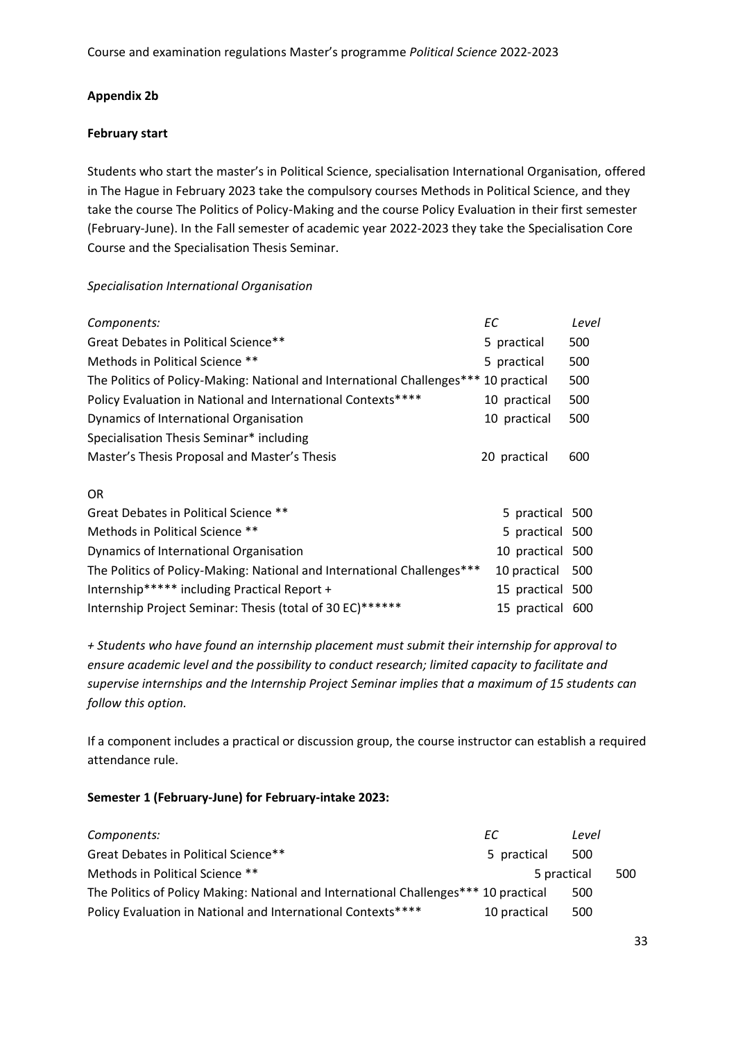### **Appendix 2b**

#### **February start**

Students who start the master's in Political Science, specialisation International Organisation, offered in The Hague in February 2023 take the compulsory courses Methods in Political Science, and they take the course The Politics of Policy-Making and the course Policy Evaluation in their first semester (February-June). In the Fall semester of academic year 2022-2023 they take the Specialisation Core Course and the Specialisation Thesis Seminar.   

### *Specialisation International Organisation*

| Components:                                                                          | ЕC               | Level |
|--------------------------------------------------------------------------------------|------------------|-------|
| Great Debates in Political Science**                                                 | 5 practical      | 500   |
| Methods in Political Science **                                                      | 5 practical      | 500   |
| The Politics of Policy-Making: National and International Challenges*** 10 practical |                  | 500   |
| Policy Evaluation in National and International Contexts****                         | 10 practical     | 500   |
| Dynamics of International Organisation                                               | 10 practical     | 500   |
| Specialisation Thesis Seminar* including                                             |                  |       |
| Master's Thesis Proposal and Master's Thesis                                         | 20 practical     | 600   |
| OR.                                                                                  |                  |       |
| Great Debates in Political Science **                                                | 5 practical 500  |       |
| Methods in Political Science **                                                      | 5 practical 500  |       |
| Dynamics of International Organisation                                               | 10 practical 500 |       |
| The Politics of Policy-Making: National and International Challenges***              | 10 practical     | 500   |

Internship\*\*\*\*\* including Practical Report + 15 practical 500    Internship Project Seminar: Thesis (total of 30 EC)\*\*\*\*\*\*    15 practical 600   

*+ Students who have found an internship placement must submit their internship for approval to ensure academic level and the possibility to conduct research; limited capacity to facilitate and supervise internships and the Internship Project Seminar implies that a maximum of 15 students can follow this option.*

If a component includes a practical or discussion group, the course instructor can establish a required attendance rule.   

#### **Semester 1 (February-June) for February-intake 2023:**

| Components:                                                                          | EC           | Level |     |
|--------------------------------------------------------------------------------------|--------------|-------|-----|
| Great Debates in Political Science**                                                 | 5 practical  | 500   |     |
| Methods in Political Science **                                                      | 5 practical  |       | 500 |
| The Politics of Policy Making: National and International Challenges*** 10 practical |              | 500   |     |
| Policy Evaluation in National and International Contexts****                         | 10 practical | 500   |     |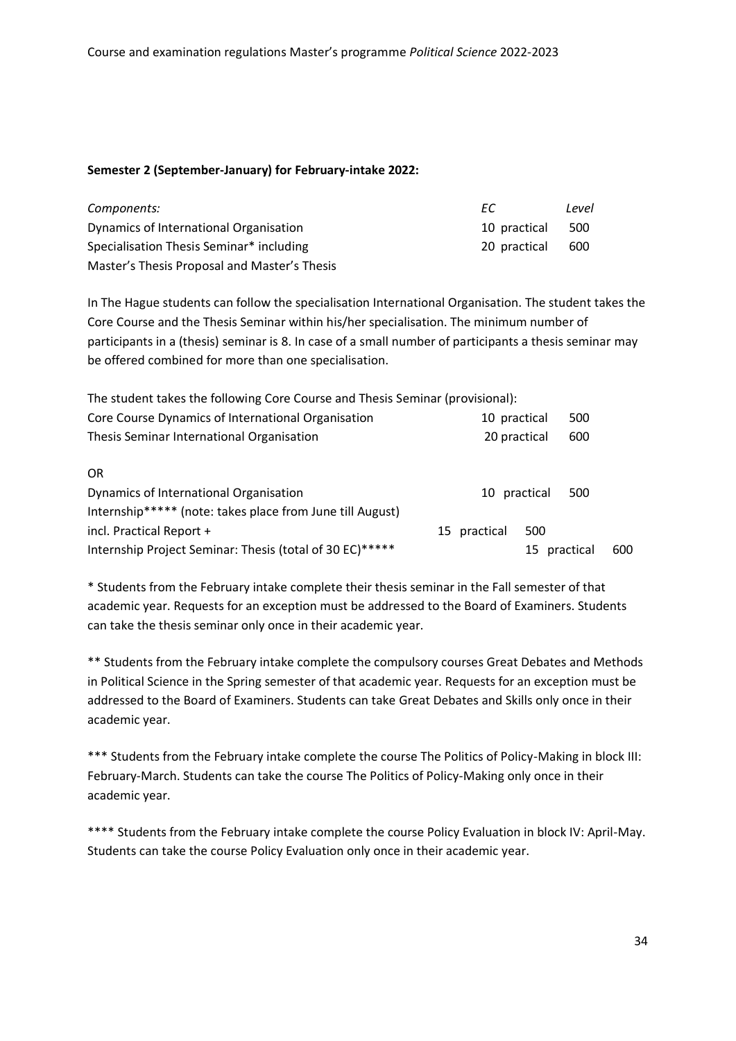#### **Semester 2 (September-January) for February-intake 2022:**

| Components:                                  | FС.          | Level |
|----------------------------------------------|--------------|-------|
| Dynamics of International Organisation       | 10 practical | 500   |
| Specialisation Thesis Seminar* including     | 20 practical | 600   |
| Master's Thesis Proposal and Master's Thesis |              |       |

In The Hague students can follow the specialisation International Organisation. The student takes the Core Course and the Thesis Seminar within his/her specialisation. The minimum number of participants in a (thesis) seminar is 8. In case of a small number of participants a thesis seminar may be offered combined for more than one specialisation.  

| The student takes the following Core Course and Thesis Seminar (provisional): |                     |     |
|-------------------------------------------------------------------------------|---------------------|-----|
| Core Course Dynamics of International Organisation                            | 500<br>10 practical |     |
| Thesis Seminar International Organisation                                     | 600<br>20 practical |     |
| 0R                                                                            |                     |     |
| Dynamics of International Organisation                                        | 10 practical<br>500 |     |
| Internship***** (note: takes place from June till August)                     |                     |     |
| incl. Practical Report +                                                      | 15 practical<br>500 |     |
| Internship Project Seminar: Thesis (total of 30 EC)*****                      | practical<br>15     | 600 |

\* Students from the February intake complete their thesis seminar in the Fall semester of that academic year. Requests for an exception must be addressed to the Board of Examiners. Students can take the thesis seminar only once in their academic year.   

\*\* Students from the February intake complete the compulsory courses Great Debates and Methods in Political Science in the Spring semester of that academic year. Requests for an exception must be addressed to the Board of Examiners. Students can take Great Debates and Skills only once in their academic year.   

\*\*\* Students from the February intake complete the course The Politics of Policy-Making in block III: February-March. Students can take the course The Politics of Policy-Making only once in their academic year.   

\*\*\*\* Students from the February intake complete the course Policy Evaluation in block IV: April-May. Students can take the course Policy Evaluation only once in their academic year.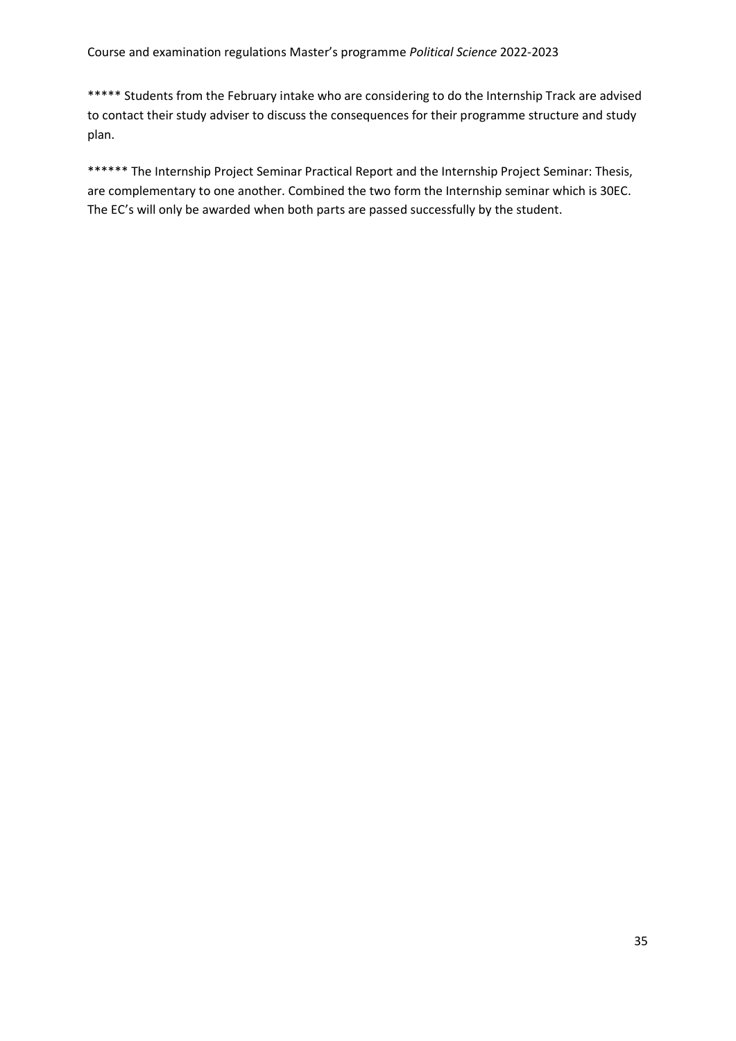\*\*\*\*\* Students from the February intake who are considering to do the Internship Track are advised to contact their study adviser to discuss the consequences for their programme structure and study plan.  

\*\*\*\*\*\* The Internship Project Seminar Practical Report and the Internship Project Seminar: Thesis, are complementary to one another. Combined the two form the Internship seminar which is 30EC. The EC's will only be awarded when both parts are passed successfully by the student.